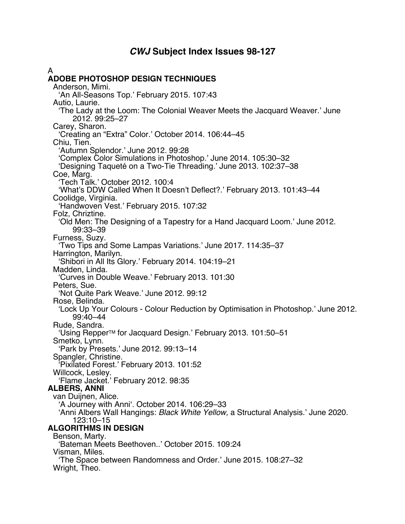# *CWJ* **Subject Index Issues 98-127**

A **ADOBE PHOTOSHOP DESIGN TECHNIQUES** Anderson, Mimi. 'An All-Seasons Top.' February 2015. 107:43 Autio, Laurie. 'The Lady at the Loom: The Colonial Weaver Meets the Jacquard Weaver.' June 2012. 99:25–27 Carey, Sharon. 'Creating an "Extra" Color.' October 2014. 106:44–45 Chiu, Tien. 'Autumn Splendor.' June 2012. 99:28 'Complex Color Simulations in Photoshop.' June 2014. 105:30–32 'Designing Taqueté on a Two-Tie Threading.' June 2013. 102:37–38 Coe, Marg. 'Tech Talk.' October 2012. 100:4 'What's DDW Called When It Doesn't Deflect?.' February 2013. 101:43–44 Coolidge, Virginia. 'Handwoven Vest.' February 2015. 107:32 Folz, Chriztine. 'Old Men: The Designing of a Tapestry for a Hand Jacquard Loom.' June 2012. 99:33–39 Furness, Suzy. 'Two Tips and Some Lampas Variations.' June 2017. 114:35–37 Harrington, Marilyn. 'Shibori in All Its Glory.' February 2014. 104:19–21 Madden, Linda. 'Curves in Double Weave.' February 2013. 101:30 Peters, Sue. 'Not Quite Park Weave.' June 2012. 99:12 Rose, Belinda. 'Lock Up Your Colours - Colour Reduction by Optimisation in Photoshop.' June 2012. 99:40–44 Rude, Sandra. 'Using RepperTM for Jacquard Design.' February 2013. 101:50–51 Smetko, Lynn. 'Park by Presets.' June 2012. 99:13–14 Spangler, Christine. 'Pixilated Forest.' February 2013. 101:52 Willcock, Lesley. 'Flame Jacket.' February 2012. 98:35 **ALBERS, ANNI** van Duijnen, Alice. 'A Journey with Anni'. October 2014. 106:29–33 'Anni Albers Wall Hangings: *Black White Yellow,* a Structural Analysis.' June 2020. 123:10–15 **ALGORITHMS IN DESIGN** Benson, Marty. 'Bateman Meets Beethoven..' October 2015. 109:24 Visman, Miles. 'The Space between Randomness and Order.' June 2015. 108:27–32 Wright, Theo.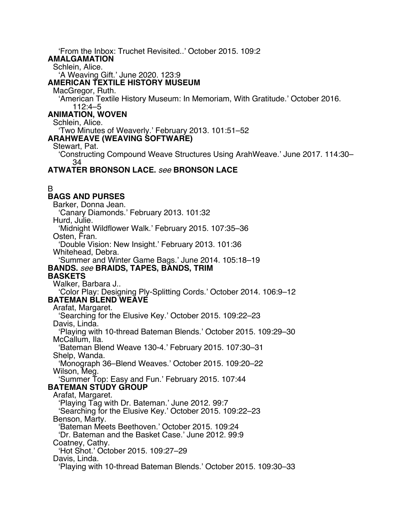'From the Inbox: Truchet Revisited..' October 2015. 109:2 **AMALGAMATION** Schlein, Alice. 'A Weaving Gift.' June 2020. 123:9 **AMERICAN TEXTILE HISTORY MUSEUM** MacGregor, Ruth. 'American Textile History Museum: In Memoriam, With Gratitude.' October 2016. 112:4–5 **ANIMATION, WOVEN** Schlein, Alice. 'Two Minutes of Weaverly.' February 2013. 101:51–52 **ARAHWEAVE (WEAVING SOFTWARE)** Stewart, Pat. 'Constructing Compound Weave Structures Using ArahWeave.' June 2017. 114:30– 34 **ATWATER BRONSON LACE.** *see* **BRONSON LACE** B **BAGS AND PURSES** Barker, Donna Jean. 'Canary Diamonds.' February 2013. 101:32 Hurd, Julie. 'Midnight Wildflower Walk.' February 2015. 107:35–36 Osten, Fran. 'Double Vision: New Insight.' February 2013. 101:36 Whitehead, Debra. 'Summer and Winter Game Bags.' June 2014. 105:18–19 **BANDS.** *see* **BRAIDS, TAPES, BANDS, TRIM BASKETS** Walker, Barbara J.. 'Color Play: Designing Ply-Splitting Cords.' October 2014. 106:9–12 **BATEMAN BLEND WEAVE** Arafat, Margaret. 'Searching for the Elusive Key.' October 2015. 109:22–23 Davis, Linda. 'Playing with 10-thread Bateman Blends.' October 2015. 109:29–30 McCallum, Ila. 'Bateman Blend Weave 130-4.' February 2015. 107:30–31 Shelp, Wanda. 'Monograph 36–Blend Weaves.' October 2015. 109:20–22 Wilson, Meg. 'Summer Top: Easy and Fun.' February 2015. 107:44 **BATEMAN STUDY GROUP** Arafat, Margaret. 'Playing Tag with Dr. Bateman.' June 2012. 99:7 'Searching for the Elusive Key.' October 2015. 109:22–23 Benson, Marty. 'Bateman Meets Beethoven.' October 2015. 109:24 'Dr. Bateman and the Basket Case.' June 2012. 99:9 Coatney, Cathy. 'Hot Shot.' October 2015. 109:27–29 Davis, Linda. 'Playing with 10-thread Bateman Blends.' October 2015. 109:30–33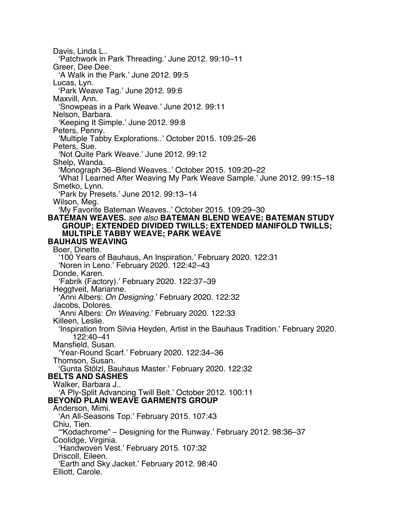Davis, Linda L.. 'Patchwork in Park Threading.' June 2012. 99:10–11 Greer, Dee Dee. 'A Walk in the Park.' June 2012. 99:5 Lucas, Lyn. 'Park Weave Tag.' June 2012. 99:6 Maxvill, Ann. 'Snowpeas in a Park Weave.' June 2012. 99:11 Nelson, Barbara. 'Keeping It Simple.' June 2012. 99:8 Peters, Penny. 'Multiple Tabby Explorations..' October 2015. 109:25–26 Peters, Sue. 'Not Quite Park Weave.' June 2012. 99:12 Shelp, Wanda. 'Monograph 36–Blend Weaves..' October 2015. 109:20–22 'What I Learned After Weaving My Park Weave Sample.' June 2012. 99:15–18 Smetko, Lynn. 'Park by Presets.' June 2012. 99:13–14 Wilson, Meg. 'My Favorite Bateman Weaves..' October 2015. 109:29–30 **BATEMAN WEAVES.** *see also* **BATEMAN BLEND WEAVE; BATEMAN STUDY GROUP; EXTENDED DIVIDED TWILLS; EXTENDED MANIFOLD TWILLS; MULTIPLE TABBY WEAVE; PARK WEAVE BAUHAUS WEAVING** Boer, Dinette. '100 Years of Bauhaus, An Inspiration.' February 2020. 122:31 'Noren in Leno.' February 2020. 122:42–43 Donde, Karen. 'Fabrik (Factory).' February 2020. 122:37–39 Heggtveit, Marianne. 'Anni Albers: *On Designing*.' February 2020. 122:32 Jacobs, Dolores. 'Anni Albers: *On Weaving*.' February 2020. 122:33 Killeen, Leslie. 'Inspiration from Silvia Heyden, Artist in the Bauhaus Tradition.' February 2020. 122:40–41 Mansfield, Susan. 'Year-Round Scarf.' February 2020. 122:34–36 Thomson, Susan. 'Gunta Stölzl, Bauhaus Master.' February 2020. 122:32 **BELTS AND SASHES** Walker, Barbara J.. 'A Ply-Split Advancing Twill Belt.' October 2012. 100:11 **BEYOND PLAIN WEAVE GARMENTS GROUP** Anderson, Mimi. 'An All-Seasons Top.' February 2015. 107:43 Chiu, Tien. '"Kodachrome" – Designing for the Runway.' February 2012. 98:36–37 Coolidge, Virginia. 'Handwoven Vest.' February 2015. 107:32 Driscoll, Eileen. 'Earth and Sky Jacket.' February 2012. 98:40 Elliott, Carole.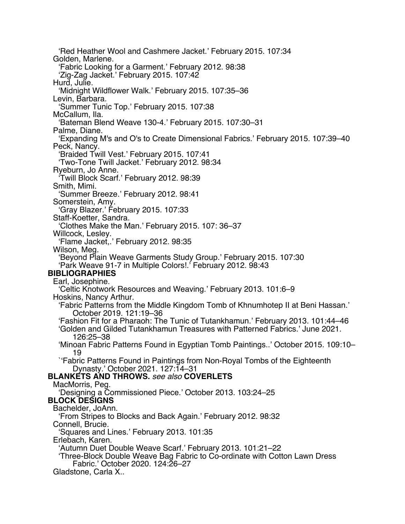'Red Heather Wool and Cashmere Jacket.' February 2015. 107:34 Golden, Marlene. 'Fabric Looking for a Garment.' February 2012. 98:38 'Zig-Zag Jacket.' February 2015. 107:42 Hurd, Julie. 'Midnight Wildflower Walk.' February 2015. 107:35–36 Levin, Barbara. 'Summer Tunic Top.' February 2015. 107:38 McCallum, Ila. 'Bateman Blend Weave 130-4.' February 2015. 107:30–31 Palme, Diane. 'Expanding M's and O's to Create Dimensional Fabrics.' February 2015. 107:39–40 Peck, Nancy. 'Braided Twill Vest.' February 2015. 107:41 'Two-Tone Twill Jacket.' February 2012. 98:34 Ryeburn, Jo Anne. 'Twill Block Scarf.' February 2012. 98:39 Smith, Mimi. 'Summer Breeze.' February 2012. 98:41 Somerstein, Amy. 'Gray Blazer.' February 2015. 107:33 Staff-Koetter, Sandra. 'Clothes Make the Man.' February 2015. 107: 36–37 Willcock, Lesley. 'Flame Jacket,.' February 2012. 98:35 Wilson, Meg. 'Beyond Plain Weave Garments Study Group.' February 2015. 107:30 'Park Weave 91-7 in Multiple Colors!.' February 2012. 98:43 **BIBLIOGRAPHIES** Earl, Josephine. 'Celtic Knotwork Resources and Weaving.' February 2013. 101:6–9 Hoskins, Nancy Arthur. 'Fabric Patterns from the Middle Kingdom Tomb of Khnumhotep II at Beni Hassan.' October 2019. 121:19–36 'Fashion Fit for a Pharaoh: The Tunic of Tutankhamun.' February 2013. 101:44–46 'Golden and Gilded Tutankhamun Treasures with Patterned Fabrics.' June 2021. 126:25–38 'Minoan Fabric Patterns Found in Egyptian Tomb Paintings..' October 2015. 109:10– 19 `'Fabric Patterns Found in Paintings from Non-Royal Tombs of the Eighteenth Dynasty.' October 2021. 127:14–31 **BLANKETS AND THROWS.** *see also* **COVERLETS** MacMorris, Peg. 'Designing a Commissioned Piece.' October 2013. 103:24–25 **BLOCK DESIGNS** Bachelder, JoAnn. 'From Stripes to Blocks and Back Again.' February 2012. 98:32 Connell, Brucie. 'Squares and Lines.' February 2013. 101:35 Erlebach, Karen. 'Autumn Duet Double Weave Scarf.' February 2013. 101:21–22 'Three-Block Double Weave Bag Fabric to Co-ordinate with Cotton Lawn Dress Fabric.' October 2020. 124:26–27 Gladstone, Carla X..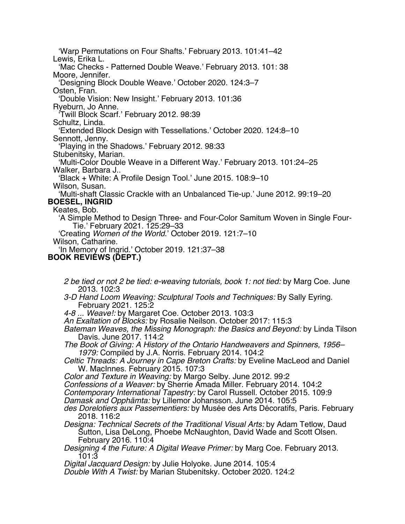'Warp Permutations on Four Shafts.' February 2013. 101:41–42 Lewis, Erika L. 'Mac Checks - Patterned Double Weave.' February 2013. 101: 38 Moore, Jennifer. 'Designing Block Double Weave.' October 2020. 124:3–7 Osten, Fran. 'Double Vision: New Insight.' February 2013. 101:36 Ryeburn, Jo Anne. 'Twill Block Scarf.' February 2012. 98:39 Schultz, Linda. 'Extended Block Design with Tessellations.' October 2020. 124:8–10 Sennott, Jenny. 'Playing in the Shadows.' February 2012. 98:33 Stubenitsky, Marian. 'Multi-Color Double Weave in a Different Way.' February 2013. 101:24–25 Walker, Barbara J.. 'Black + White: A Profile Design Tool.' June 2015. 108:9–10 Wilson, Susan. 'Multi-shaft Classic Crackle with an Unbalanced Tie-up.' June 2012. 99:19–20 **BOESEL, INGRID** Keates, Bob. 'A Simple Method to Design Three- and Four-Color Samitum Woven in Single Four-Tie.' February 2021. 125:29–33 'Creating *Women of the World*.' October 2019. 121:7–10 Wilson, Catharine. 'In Memory of Ingrid.' October 2019. 121:37–38 **BOOK REVIEWS (DEPT.)**

- *2 be tied or not 2 be tied: e-weaving tutorials, book 1: not tied:* by Marg Coe. June 2013. 102:3
- *3-D Hand Loom Weaving: Sculptural Tools and Techniques:* By Sally Eyring. February 2021. 125:2
- *4-8 ... Weave!:* by Margaret Coe. October 2013. 103:3
- *An Exaltation of Blocks:* by Rosalie Neilson. October 2017: 115:3
- *Bateman Weaves, the Missing Monograph: the Basics and Beyond:* by Linda Tilson Davis. June 2017. 114:2
- *The Book of Giving: A History of the Ontario Handweavers and Spinners, 1956– 1979:* Compiled by J.A. Norris. February 2014. 104:2
- *Celtic Threads: A Journey in Cape Breton Crafts:* by Eveline MacLeod and Daniel W. MacInnes. February 2015. 107:3
- *Color and Texture in Weaving:* by Margo Selby. June 2012. 99:2
- *Confessions of a Weaver:* by Sherrie Amada Miller. February 2014. 104:2

*Contemporary International Tapestry:* by Carol Russell. October 2015. 109:9

- *Damask and Opphämta:* by Lillemor Johansson. June 2014. 105:5
- *des Dorelotiers aux Passementiers:* by Musée des Arts Décoratifs, Paris. February 2018. 116:2
- *Designa: Technical Secrets of the Traditional Visual Arts:* by Adam Tetlow, Daud Sutton, Lisa DeLong, Phoebe McNaughton, David Wade and Scott Olsen. February 2016. 110:4
- *Designing 4 the Future: A Digital Weave Primer:* by Marg Coe. February 2013. 101:3

*Digital Jacquard Design:* by Julie Holyoke. June 2014. 105:4

*Double With A Twist:* by Marian Stubenitsky. October 2020. 124:2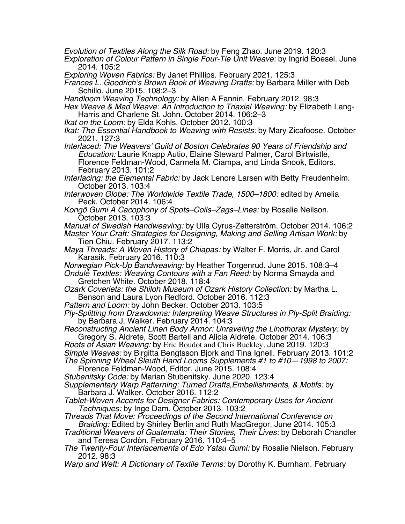*Evolution of Textiles Along the Silk Road:* by Feng Zhao. June 2019. 120:3

*Exploration of Colour Pattern in Single Four-Tie Unit Weave:* by Ingrid Boesel. June 2014. 105:2

*Exploring Woven Fabrics:* By Janet Phillips. February 2021. 125:3

*Frances L. Goodrich's Brown Book of Weaving Drafts:* by Barbara Miller with Deb Schillo. June 2015. 108:2–3

*Handloom Weaving Technology:* by Allen A Fannin. February 2012. 98:3

*Hex Weave & Mad Weave: An Introduction to Triaxial Weaving:* by Elizabeth Lang-Harris and Charlene St. John. October 2014. 106:2–3

*Ikat on the Loom:* by Elda Kohls. October 2012. 100:3

*Ikat: The Essential Handbook to Weaving with Resists:* by Mary Zicafoose. October 2021. 127:3

*Interlaced: The Weavers' Guild of Boston Celebrates 90 Years of Friendship and Education:* Laurie Knapp Autio, Elaine Steward Palmer, Carol Birtwistle, Florence Feldman-Wood, Carmela M. Ciampa, and Linda Snook, Editors. February 2013. 101:2

*Interlacing: the Elemental Fabric:* by Jack Lenore Larsen with Betty Freudenheim. October 2013. 103:4

*Interwoven Globe: The Worldwide Textile Trade, 1500–1800:* edited by Amelia Peck. October 2014. 106:4

*Kong*ō *Gumi A Cacophony of Spots–Coils–Zags–Lines:* by Rosalie Neilson. October 2013. 103:3

*Manual of Swedish Handweaving:* by Ulla Cyrus-Zetterström. October 2014. 106:2 *Master Your Craft: Strategies for Designing, Making and Selling Artisan Work:* by Tien Chiu. February 2017. 113:2

*Maya Threads: A Woven History of Chiapas:* by Walter F. Morris, Jr. and Carol Karasik. February 2016. 110:3

*Norwegian Pick-Up Bandweaving:* by Heather Torgenrud. June 2015. 108:3–4 *Ondulé Textiles: Weaving Contours with a Fan Reed:* by Norma Smayda and

Gretchen White. October 2018. 118:4

*Ozark Coverlets: the Shiloh Museum of Ozark History Collection:* by Martha L. Benson and Laura Lyon Redford. October 2016. 112:3

*Pattern and Loom:* by John Becker. October 2013. 103:5

*Ply-Splitting from Drawdowns: Interpreting Weave Structures in Ply-Split Braiding:* by Barbara J. Walker. February 2014. 104:3

*Reconstructing Ancient Linen Body Armor: Unraveling the Linothorax Mystery:* by Gregory S. Aldrete, Scott Bartell and Alicia Aldrete. October 2014. 106:3

*Roots of Asian Weaving:* by Eric Boudot and Chris Buckley. June 2019. 120:3 *Simple Weaves:* by Birgitta Bengtsson Bjork and Tina Ignell. February 2013. 101:2 *The Spinning Wheel Sleuth Hand Looms Supplements #1 to #10—1998 to 2007:*

Florence Feldman-Wood, Editor. June 2015. 108:4

*Stubenitsky Code:* by Marian Stubenitsky. June 2020. 123:4

*Supplementary Warp Patterning: Turned Drafts,Embellishments, & Motifs:* by Barbara J. Walker. October 2016. 112:2

*Tablet-Woven Accents for Designer Fabrics: Contemporary Uses for Ancient Techniques:* by Inge Dam. October 2013. 103:2

*Threads That Move: Proceedings of the Second International Conference on Braiding:* Edited by Shirley Berlin and Ruth MacGregor. June 2014. 105:3

*Traditional Weavers of Guatemala: Their Stories, Their Lives:* by Deborah Chandler and Teresa Cordón. February 2016. 110:4–5

*The Twenty-Four Interlacements of Edo Yatsu Gumi:* by Rosalie Nielson. February 2012. 98:3

*Warp and Weft: A Dictionary of Textile Terms:* by Dorothy K. Burnham. February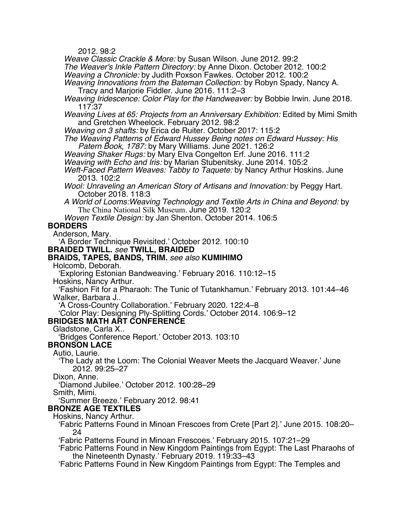2012. 98:2

*Weave Classic Crackle & More:* by Susan Wilson. June 2012. 99:2

*The Weaver's Inkle Pattern Directory:* by Anne Dixon. October 2012. 100:2

*Weaving a Chronicle:* by Judith Poxson Fawkes. October 2012. 100:2

*Weaving Innovations from the Bateman Collection:* by Robyn Spady, Nancy A. Tracy and Marjorie Fiddler. June 2016. 111:2–3

*Weaving Iridescence: Color Play for the Handweaver:* by Bobbie Irwin. June 2018. 117:37

*Weaving Lives at 65: Projects from an Anniversary Exhibition:* Edited by Mimi Smith and Gretchen Wheelock. February 2012. 98:2

*Weaving on 3 shafts:* by Erica de Ruiter. October 2017: 115:2

*The Weaving Patterns of Edward Hussey Being notes on Edward Hussey: His Patern Book, 1787:* by Mary Williams. June 2021. 126:2

*Weaving Shaker Rugs:* by Mary Elva Congelton Erf. June 2016. 111:2

*Weaving with Echo and Iris:* by Marian Stubenitsky. June 2014. 105:2

*Weft-Faced Pattern Weaves: Tabby to Taquete:* by Nancy Arthur Hoskins. June 2013. 102:2

*Wool: Unraveling an American Story of Artisans and Innovation:* by Peggy Hart. October 2018. 118:3

*A World of Looms:Weaving Technology and Textile Arts in China and Beyond:* by The China National Silk Museum. June 2019. 120:2

*Woven Textile Design:* by Jan Shenton. October 2014. 106:5

## **BORDERS**

Anderson, Mary.

'A Border Technique Revisited.' October 2012. 100:10

**BRAIDED TWILL.** *see* **TWILL, BRAIDED**

### **BRAIDS, TAPES, BANDS, TRIM.** *see also* **KUMIHIMO**

Holcomb, Deborah.

'Exploring Estonian Bandweaving.' February 2016. 110:12–15

Hoskins, Nancy Arthur. 'Fashion Fit for a Pharaoh: The Tunic of Tutankhamun.' February 2013. 101:44–46

Walker, Barbara J..

'A Cross-Country Collaboration.' February 2020. 122:4–8

'Color Play: Designing Ply-Splitting Cords.' October 2014. 106:9–12

## **BRIDGES MATH ART CONFERENCE**

Gladstone, Carla X..

'Bridges Conference Report.' October 2013. 103:10

**BRONSON LACE**

Autio, Laurie.

'The Lady at the Loom: The Colonial Weaver Meets the Jacquard Weaver.' June 2012. 99:25–27

Dixon, Anne.

'Diamond Jubilee.' October 2012. 100:28–29

Smith, Mimi.

'Summer Breeze.' February 2012. 98:41

#### **BRONZE AGE TEXTILES**

Hoskins, Nancy Arthur.

'Fabric Patterns Found in Minoan Frescoes from Crete [Part 2].' June 2015. 108:20– 24

'Fabric Patterns Found in Minoan Frescoes.' February 2015. 107:21–29

'Fabric Patterns Found in New Kingdom Paintings from Egypt: The Last Pharaohs of the Nineteenth Dynasty.' February 2019. 119:33–43

'Fabric Patterns Found in New Kingdom Paintings from Egypt: The Temples and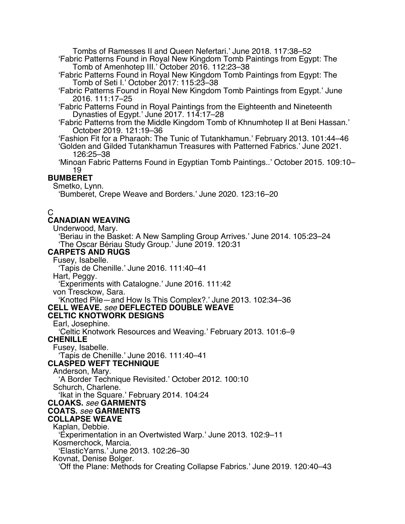Tombs of Ramesses II and Queen Nefertari.' June 2018. 117:38–52

'Fabric Patterns Found in Royal New Kingdom Tomb Paintings from Egypt: The Tomb of Amenhotep III.' October 2016. 112:23–38

'Fabric Patterns Found in Royal New Kingdom Tomb Paintings from Egypt: The Tomb of Seti I.' October 2017: 115:23–38

'Fabric Patterns Found in Royal New Kingdom Tomb Paintings from Egypt.' June 2016. 111:17–25

'Fabric Patterns Found in Royal Paintings from the Eighteenth and Nineteenth Dynasties of Egypt.' June 2017. 114:17–28

'Fabric Patterns from the Middle Kingdom Tomb of Khnumhotep II at Beni Hassan.' October 2019. 121:19–36

'Fashion Fit for a Pharaoh: The Tunic of Tutankhamun.' February 2013. 101:44–46 'Golden and Gilded Tutankhamun Treasures with Patterned Fabrics.' June 2021. 126:25–38

'Minoan Fabric Patterns Found in Egyptian Tomb Paintings..' October 2015. 109:10– 19

## **BUMBERET**

Smetko, Lynn.

'Bumberet, Crepe Weave and Borders.' June 2020. 123:16–20

# C

### **CANADIAN WEAVING**

Underwood, Mary.

'Beriau in the Basket: A New Sampling Group Arrives.' June 2014. 105:23–24 'The Oscar Bériau Study Group.' June 2019. 120:31

# **CARPETS AND RUGS**

Fusey, Isabelle.

'Tapis de Chenille.' June 2016. 111:40–41

Hart, Peggy.

'Experiments with Catalogne.' June 2016. 111:42

von Tresckow, Sara.

'Knotted Pile—and How Is This Complex?.' June 2013. 102:34–36 **CELL WEAVE.** *see* **DEFLECTED DOUBLE WEAVE**

# **CELTIC KNOTWORK DESIGNS**

Earl, Josephine.

'Celtic Knotwork Resources and Weaving.' February 2013. 101:6–9

**CHENILLE**

Fusey, Isabelle.

'Tapis de Chenille.' June 2016. 111:40–41

# **CLASPED WEFT TECHNIQUE**

Anderson, Mary.

'A Border Technique Revisited.' October 2012. 100:10

Schurch, Charlene.

'Ikat in the Square.' February 2014. 104:24

# **CLOAKS.** *see* **GARMENTS**

# **COATS.** *see* **GARMENTS**

**COLLAPSE WEAVE** Kaplan, Debbie.

'Experimentation in an Overtwisted Warp.' June 2013. 102:9–11

Kosmerchock, Marcia.

'ElasticYarns.' June 2013. 102:26–30

Kovnat, Denise Bolger.

'Off the Plane: Methods for Creating Collapse Fabrics.' June 2019. 120:40–43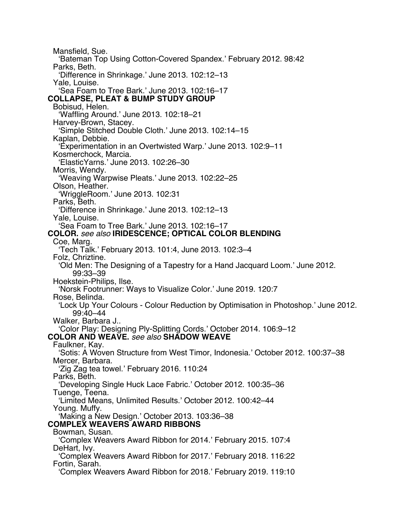Mansfield, Sue. 'Bateman Top Using Cotton-Covered Spandex.' February 2012. 98:42 Parks, Beth. 'Difference in Shrinkage.' June 2013. 102:12–13 Yale, Louise. 'Sea Foam to Tree Bark.' June 2013. 102:16–17 **COLLAPSE, PLEAT & BUMP STUDY GROUP** Bobisud, Helen. 'Waffling Around.' June 2013. 102:18–21 Harvey-Brown, Stacey. 'Simple Stitched Double Cloth.' June 2013. 102:14–15 Kaplan, Debbie. 'Experimentation in an Overtwisted Warp.' June 2013. 102:9–11 Kosmerchock, Marcia. 'ElasticYarns.' June 2013. 102:26–30 Morris, Wendy. 'Weaving Warpwise Pleats.' June 2013. 102:22–25 Olson, Heather. 'WriggleRoom.' June 2013. 102:31 Parks, Beth. 'Difference in Shrinkage.' June 2013. 102:12–13 Yale, Louise. 'Sea Foam to Tree Bark.' June 2013. 102:16–17 **COLOR.** *see also* **IRIDESCENCE; OPTICAL COLOR BLENDING** Coe, Marg. 'Tech Talk.' February 2013. 101:4, June 2013. 102:3–4 Folz, Chriztine. 'Old Men: The Designing of a Tapestry for a Hand Jacquard Loom.' June 2012. 99:33–39 Hoekstein-Philips, Ilse. 'Norsk Footrunner: Ways to Visualize Color.' June 2019. 120:7 Rose, Belinda. 'Lock Up Your Colours - Colour Reduction by Optimisation in Photoshop.' June 2012. 99:40–44 Walker, Barbara J.. 'Color Play: Designing Ply-Splitting Cords.' October 2014. 106:9–12 **COLOR AND WEAVE.** *see also* **SHADOW WEAVE** Faulkner, Kay. 'Sotis: A Woven Structure from West Timor, Indonesia.' October 2012. 100:37–38 Mercer, Barbara. 'Zig Zag tea towel.' February 2016. 110:24 Parks, Beth. 'Developing Single Huck Lace Fabric.' October 2012. 100:35–36 Tuenge, Teena. 'Limited Means, Unlimited Results.' October 2012. 100:42–44 Young. Muffy. 'Making a New Design.' October 2013. 103:36–38 **COMPLEX WEAVERS AWARD RIBBONS** Bowman, Susan. 'Complex Weavers Award Ribbon for 2014.' February 2015. 107:4 DeHart, Ivy. 'Complex Weavers Award Ribbon for 2017.' February 2018. 116:22 Fortin, Sarah. 'Complex Weavers Award Ribbon for 2018.' February 2019. 119:10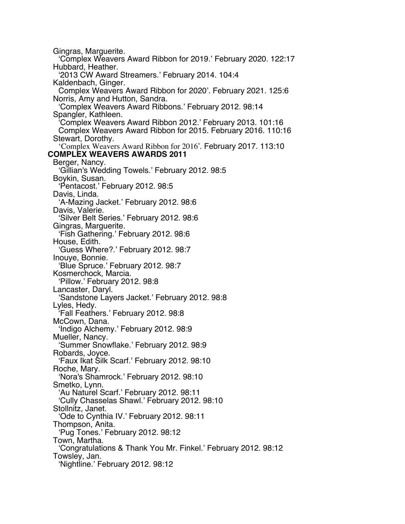Gingras, Marguerite. 'Complex Weavers Award Ribbon for 2019.' February 2020. 122:17 Hubbard, Heather. '2013 CW Award Streamers.' February 2014. 104:4 Kaldenbach, Ginger. Complex Weavers Award Ribbon for 2020'. February 2021. 125:6 Norris, Amy and Hutton, Sandra. 'Complex Weavers Award Ribbons.' February 2012. 98:14 Spangler, Kathleen. 'Complex Weavers Award Ribbon 2012.' February 2013. 101:16 Complex Weavers Award Ribbon for 2015. February 2016. 110:16 Stewart, Dorothy. 'Complex Weavers Award Ribbon for 2016'. February 2017. 113:10 **COMPLEX WEAVERS AWARDS 2011** Berger, Nancy. 'Gillian's Wedding Towels.' February 2012. 98:5 Boykin, Susan. 'Pentacost.' February 2012. 98:5 Davis, Linda. 'A-Mazing Jacket.' February 2012. 98:6 Davis, Valerie. 'Silver Belt Series.' February 2012. 98:6 Gingras, Marguerite. 'Fish Gathering.' February 2012. 98:6 House, Edith. 'Guess Where?.' February 2012. 98:7 Inouye, Bonnie. 'Blue Spruce.' February 2012. 98:7 Kosmerchock, Marcia. 'Pillow.' February 2012. 98:8 Lancaster, Daryl. 'Sandstone Layers Jacket.' February 2012. 98:8 Lyles, Hedy. 'Fall Feathers.' February 2012. 98:8 McCown, Dana. 'Indigo Alchemy.' February 2012. 98:9 Mueller, Nancy. 'Summer Snowflake.' February 2012. 98:9 Robards, Joyce. 'Faux Ikat Silk Scarf.' February 2012. 98:10 Roche, Mary. 'Nora's Shamrock.' February 2012. 98:10 Smetko, Lynn. 'Au Naturel Scarf.' February 2012. 98:11 'Cully Chasselas Shawl.' February 2012. 98:10 Stollnitz, Janet. 'Ode to Cynthia IV.' February 2012. 98:11 Thompson, Anita. 'Pug Tones.' February 2012. 98:12 Town, Martha. 'Congratulations & Thank You Mr. Finkel.' February 2012. 98:12 Towsley, Jan. 'Nightline.' February 2012. 98:12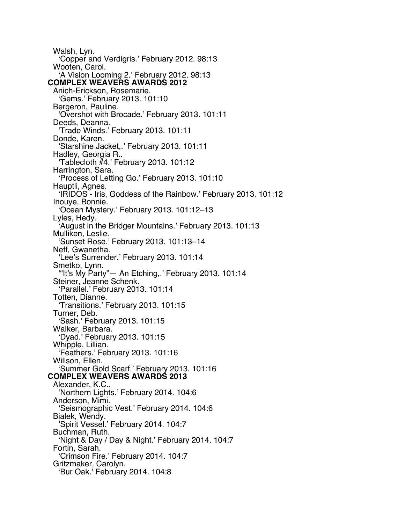Walsh, Lyn. 'Copper and Verdigris.' February 2012. 98:13 Wooten, Carol. 'A Vision Looming 2.' February 2012. 98:13 **COMPLEX WEAVERS AWARDS 2012** Anich-Erickson, Rosemarie. 'Gems.' February 2013. 101:10 Bergeron, Pauline. 'Overshot with Brocade.' February 2013. 101:11 Deeds, Deanna. 'Trade Winds.' February 2013. 101:11 Donde, Karen. 'Starshine Jacket,.' February 2013. 101:11 Hadley, Georgia R.. 'Tablecloth #4.' February 2013. 101:12 Harrington, Sara. 'Process of Letting Go.' February 2013. 101:10 Hauptli, Agnes. 'IRIDOS - Iris, Goddess of the Rainbow.' February 2013. 101:12 Inouye, Bonnie. 'Ocean Mystery.' February 2013. 101:12–13 Lyles, Hedy. 'August in the Bridger Mountains.' February 2013. 101:13 Mulliken, Leslie. 'Sunset Rose.' February 2013. 101:13–14 Neff, Gwanetha. 'Lee's Surrender.' February 2013. 101:14 Smetko, Lynn. '"It's My Party"— An Etching,.' February 2013. 101:14 Steiner, Jeanne Schenk. 'Parallel.' February 2013. 101:14 Totten, Dianne. 'Transitions.' February 2013. 101:15 Turner, Deb. 'Sash.' February 2013. 101:15 Walker, Barbara. 'Dyad.' February 2013. 101:15 Whipple, Lillian. 'Feathers.' February 2013. 101:16 Willson, Ellen. 'Summer Gold Scarf.' February 2013. 101:16 **COMPLEX WEAVERS AWARDS 2013** Alexander, K.C.. 'Northern Lights.' February 2014. 104:6 Anderson, Mimi. 'Seismographic Vest.' February 2014. 104:6 Bialek, Wendy. 'Spirit Vessel.' February 2014. 104:7 Buchman, Ruth. 'Night & Day / Day & Night.' February 2014. 104:7 Fortin, Sarah. 'Crimson Fire.' February 2014. 104:7 Gritzmaker, Carolyn. 'Bur Oak.' February 2014. 104:8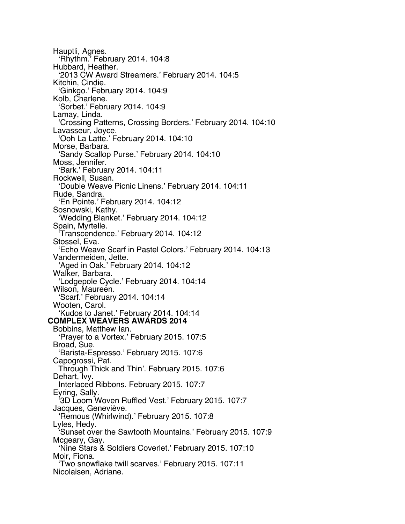Hauptli, Agnes. 'Rhythm.' February 2014. 104:8 Hubbard, Heather. '2013 CW Award Streamers.' February 2014. 104:5 Kitchin, Cindie. 'Ginkgo.' February 2014. 104:9 Kolb, Charlene. 'Sorbet.' February 2014. 104:9 Lamay, Linda. 'Crossing Patterns, Crossing Borders.' February 2014. 104:10 Lavasseur, Joyce. 'Ooh La Latte.' February 2014. 104:10 Morse, Barbara. 'Sandy Scallop Purse.' February 2014. 104:10 Moss, Jennifer. 'Bark.' February 2014. 104:11 Rockwell, Susan. 'Double Weave Picnic Linens.' February 2014. 104:11 Rude, Sandra. 'En Pointe.' February 2014. 104:12 Sosnowski, Kathy. 'Wedding Blanket.' February 2014. 104:12 Spain, Myrtelle. 'Transcendence.' February 2014. 104:12 Stossel, Eva. 'Echo Weave Scarf in Pastel Colors.' February 2014. 104:13 Vandermeiden, Jette. 'Aged in Oak.' February 2014. 104:12 Walker, Barbara. 'Lodgepole Cycle.' February 2014. 104:14 Wilson, Maureen. 'Scarf.' February 2014. 104:14 Wooten, Carol. 'Kudos to Janet.' February 2014. 104:14 **COMPLEX WEAVERS AWARDS 2014** Bobbins, Matthew Ian. 'Prayer to a Vortex.' February 2015. 107:5 Broad, Sue. 'Barista-Espresso.' February 2015. 107:6 Capogrossi, Pat. Through Thick and Thin'. February 2015. 107:6 Dehart, Ivy. Interlaced Ribbons. February 2015. 107:7 Eyring, Sally. '3D Loom Woven Ruffled Vest.' February 2015. 107:7 Jacques, Geneviève. 'Remous (Whirlwind).' February 2015. 107:8 Lyles, Hedy. Sunset over the Sawtooth Mountains.' February 2015. 107:9 Mcgeary, Gay. 'Nine Stars & Soldiers Coverlet.' February 2015. 107:10 Moir, Fiona. 'Two snowflake twill scarves.' February 2015. 107:11 Nicolaisen, Adriane.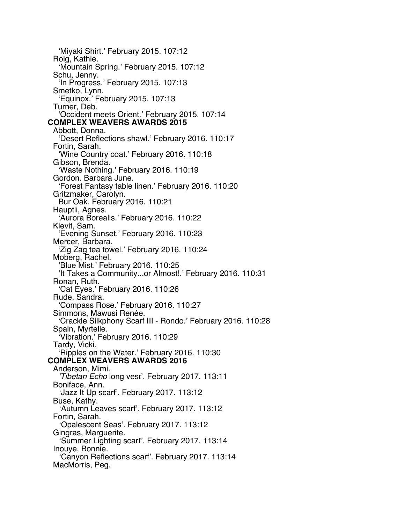'Miyaki Shirt.' February 2015. 107:12 Roig, Kathie. 'Mountain Spring.' February 2015. 107:12 Schu, Jenny. 'In Progress.' February 2015. 107:13 Smetko, Lynn. 'Equinox.' February 2015. 107:13 Turner, Deb. 'Occident meets Orient.' February 2015. 107:14 **COMPLEX WEAVERS AWARDS 2015** Abbott, Donna. 'Desert Reflections shawl.' February 2016. 110:17 Fortin, Sarah. 'Wine Country coat.' February 2016. 110:18 Gibson, Brenda. 'Waste Nothing.' February 2016. 110:19 Gordon. Barbara June. 'Forest Fantasy table linen.' February 2016. 110:20 Gritzmaker, Carolyn. Bur Oak. February 2016. 110:21 Hauptli, Agnes. 'Aurora Borealis.' February 2016. 110:22 Kievit, Sam. 'Evening Sunset.' February 2016. 110:23 Mercer, Barbara. 'Zig Zag tea towel.' February 2016. 110:24 Moberg, Rachel. 'Blue Mist.' February 2016. 110:25 'It Takes a Community...or Almost!.' February 2016. 110:31 Ronan, Ruth. 'Cat Eyes.' February 2016. 110:26 Rude, Sandra. 'Compass Rose.' February 2016. 110:27 Simmons, Mawusi Renée. 'Crackle Silkphony Scarf III - Rondo.' February 2016. 110:28 Spain, Myrtelle. 'Vibration.' February 2016. 110:29 Tardy, Vicki. 'Ripples on the Water.' February 2016. 110:30 **COMPLEX WEAVERS AWARDS 2016** Anderson, Mimi. *'Tibetan Echo* long vest'. February 2017. 113:11 Boniface, Ann. *'*Jazz It Up scarf'. February 2017. 113:12 Buse, Kathy. *'*Autumn Leaves scarf'. February 2017. 113:12 Fortin, Sarah. *'*Opalescent Seas'. February 2017. 113:12 Gingras, Marguerite. *'*Summer Lighting scarf'. February 2017. 113:14 Inouye, Bonnie. *'*Canyon Reflections scarf'. February 2017. 113:14 MacMorris, Peg.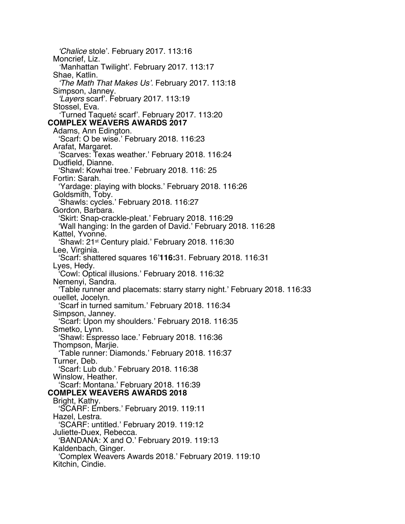*'Chalice* stole'. February 2017. 113:16 Moncrief, Liz. *'*Manhattan Twilight'. February 2017. 113:17 Shae, Katlin. *'The Math That Makes Us'.* February 2017. 113:18 Simpson, Janney. *'Layers* scarf'. February 2017. 113:19 Stossel, Eva. *'*Turned Taqueté scarf'. February 2017. 113:20 **COMPLEX WEAVERS AWARDS 2017** Adams, Ann Edington. 'Scarf: O be wise.' February 2018. 116:23 Arafat, Margaret. 'Scarves: Texas weather.' February 2018. 116:24 Dudfield, Dianne. 'Shawl: Kowhai tree.' February 2018. 116: 25 Fortin: Sarah. 'Yardage: playing with blocks.' February 2018. 116:26 Goldsmith, Toby. 'Shawls: cycles.' February 2018. 116:27 Gordon, Barbara. 'Skirt: Snap-crackle-pleat.' February 2018. 116:29 'Wall hanging: In the garden of David.' February 2018. 116:28 Kattel, Yvonne. 'Shawl: 21st Century plaid.' February 2018. 116:30 Lee, Virginia. 'Scarf: shattered squares 16'**116:**31. February 2018. 116:31 Lyes, Hedy. 'Cowl: Optical illusions.' February 2018. 116:32 Nemenyi, Sandra. 'Table runner and placemats: starry starry night.' February 2018. 116:33 ouellet, Jocelyn. 'Scarf in turned samitum.' February 2018. 116:34 Simpson, Janney. 'Scarf: Upon my shoulders.' February 2018. 116:35 Smetko, Lynn. 'Shawl: Espresso lace.' February 2018. 116:36 Thompson, Marjie. 'Table runner: Diamonds.' February 2018. 116:37 Turner, Deb. 'Scarf: Lub dub.' February 2018. 116:38 Winslow, Heather. 'Scarf: Montana.' February 2018. 116:39 **COMPLEX WEAVERS AWARDS 2018** Bright, Kathy. 'SCARF: Embers.' February 2019. 119:11 Hazel, Lestra. 'SCARF: untitled.' February 2019. 119:12 Juliette-Duex, Rebecca. 'BANDANA: X and O.' February 2019. 119:13 Kaldenbach, Ginger. 'Complex Weavers Awards 2018.' February 2019. 119:10 Kitchin, Cindie.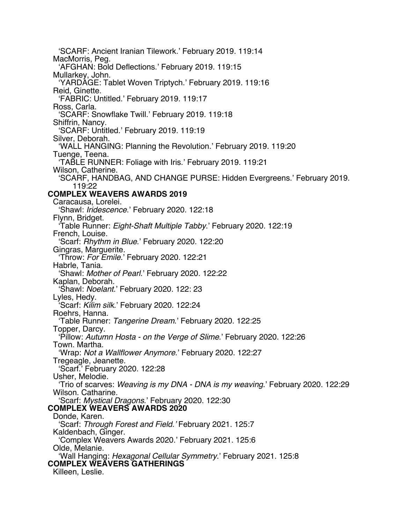'SCARF: Ancient Iranian Tilework.' February 2019. 119:14 MacMorris, Peg. 'AFGHAN: Bold Deflections.' February 2019. 119:15 Mullarkey, John. 'YARDAGE: Tablet Woven Triptych.' February 2019. 119:16 Reid, Ginette. 'FABRIC: Untitled.' February 2019. 119:17 Ross, Carla. 'SCARF: Snowflake Twill.' February 2019. 119:18 Shiffrin, Nancy. 'SCARF: Untitled.' February 2019. 119:19 Silver, Deborah. 'WALL HANGING: Planning the Revolution.' February 2019. 119:20 Tuenge, Teena. 'TABLE RUNNER: Foliage with Iris.' February 2019. 119:21 Wilson, Catherine. 'SCARF, HANDBAG, AND CHANGE PURSE: Hidden Evergreens.' February 2019. 119:22 **COMPLEX WEAVERS AWARDS 2019** Caracausa, Lorelei. 'Shawl: *Iridescence*.' February 2020. 122:18 Flynn, Bridget. 'Table Runner: *Eight-Shaft Multiple Tabby*.' February 2020. 122:19 French, Louise. 'Scarf: *Rhythm in Blue*.' February 2020. 122:20 Gingras, Marguerite. 'Throw: *For Emile*.' February 2020. 122:21 Habrle, Tania. 'Shawl: *Mother of Pearl*.' February 2020. 122:22 Kaplan, Deborah. 'Shawl: *Noelant*.' February 2020. 122: 23 Lyles, Hedy. 'Scarf: *Kilim silk*.' February 2020. 122:24 Roehrs, Hanna. 'Table Runner: *Tangerine Dream*.' February 2020. 122:25 Topper, Darcy. 'Pillow: *Autumn Hosta - on the Verge of Slime*.' February 2020. 122:26 Town. Martha. 'Wrap: *Not a Wallflower Anymore*.' February 2020. 122:27 Tregeagle, Jeanette. 'Scarf.' February 2020. 122:28 Usher, Melodie. 'Trio of scarves: *Weaving is my DNA - DNA is my weaving*.' February 2020. 122:29 Wilson. Catharine. 'Scarf: *Mystical Dragons*.' February 2020. 122:30 **COMPLEX WEAVERS AWARDS 2020** Donde, Karen. 'Scarf: *Through Forest and Field.'* February 2021. 125:7 Kaldenbach, Ginger. 'Complex Weavers Awards 2020.' February 2021. 125:6 Olde, Melanie. 'Wall Hanging: *Hexagonal Cellular Symmetry*.' February 2021. 125:8 **COMPLEX WEAVERS GATHERINGS** Killeen, Leslie.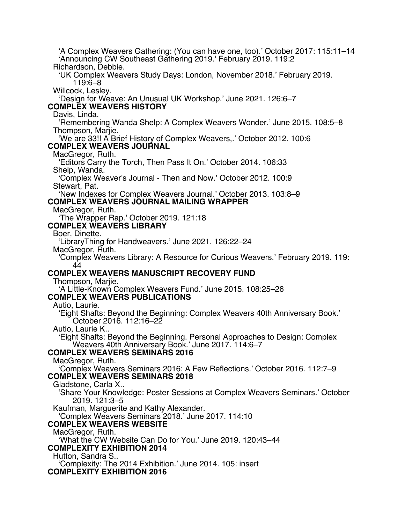'A Complex Weavers Gathering: (You can have one, too).' October 2017: 115:11–14 'Announcing CW Southeast Gathering 2019.' February 2019. 119:2 Richardson, Debbie. 'UK Complex Weavers Study Days: London, November 2018.' February 2019. 119:6–8 Willcock, Lesley. 'Design for Weave: An Unusual UK Workshop.' June 2021. 126:6–7 **COMPLEX WEAVERS HISTORY** Davis, Linda. 'Remembering Wanda Shelp: A Complex Weavers Wonder.' June 2015. 108:5–8 Thompson, Marjie. 'We are 33!! A Brief History of Complex Weavers,.' October 2012. 100:6 **COMPLEX WEAVERS JOURNAL** MacGregor, Ruth. 'Editors Carry the Torch, Then Pass It On.' October 2014. 106:33 Shelp, Wanda. 'Complex Weaver's Journal - Then and Now.' October 2012. 100:9 Stewart, Pat. 'New Indexes for Complex Weavers Journal.' October 2013. 103:8–9 **COMPLEX WEAVERS JOURNAL MAILING WRAPPER** MacGregor, Ruth. 'The Wrapper Rap.' October 2019. 121:18 **COMPLEX WEAVERS LIBRARY** Boer, Dinette. 'LibraryThing for Handweavers.' June 2021. 126:22–24 MacGregor, Ruth. 'Complex Weavers Library: A Resource for Curious Weavers.' February 2019. 119: 44 **COMPLEX WEAVERS MANUSCRIPT RECOVERY FUND** Thompson, Marjie. 'A Little-Known Complex Weavers Fund.' June 2015. 108:25–26 **COMPLEX WEAVERS PUBLICATIONS** Autio, Laurie. 'Eight Shafts: Beyond the Beginning: Complex Weavers 40th Anniversary Book.' October 2016. 112:16–22 Autio, Laurie K.. 'Eight Shafts: Beyond the Beginning. Personal Approaches to Design: Complex Weavers 40th Anniversary Book.' June 2017. 114:6–7 **COMPLEX WEAVERS SEMINARS 2016** MacGregor, Ruth. 'Complex Weavers Seminars 2016: A Few Reflections.' October 2016. 112:7–9 **COMPLEX WEAVERS SEMINARS 2018** Gladstone, Carla X.. 'Share Your Knowledge: Poster Sessions at Complex Weavers Seminars.' October 2019. 121:3–5 Kaufman, Marguerite and Kathy Alexander. 'Complex Weavers Seminars 2018.' June 2017. 114:10 **COMPLEX WEAVERS WEBSITE** MacGregor, Ruth. 'What the CW Website Can Do for You.' June 2019. 120:43–44 **COMPLEXITY EXHIBITION 2014** Hutton, Sandra S.. 'Complexity: The 2014 Exhibition.' June 2014. 105: insert **COMPLEXITY EXHIBITION 2016**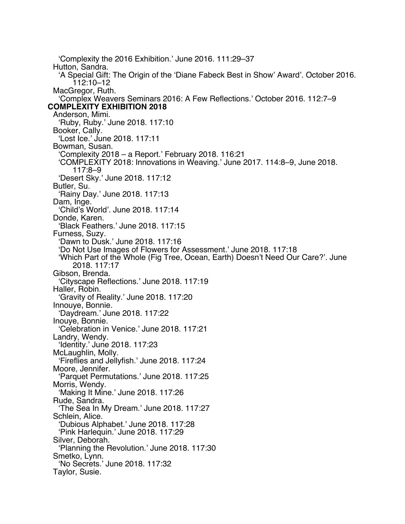'Complexity the 2016 Exhibition.' June 2016. 111:29–37 Hutton, Sandra. 'A Special Gift: The Origin of the 'Diane Fabeck Best in Show' Award'. October 2016. 112:10–12 MacGregor, Ruth. 'Complex Weavers Seminars 2016: A Few Reflections.' October 2016. 112:7–9 **COMPLEXITY EXHIBITION 2018** Anderson, Mimi. 'Ruby, Ruby.' June 2018. 117:10 Booker, Cally. 'Lost Ice.' June 2018. 117:11 Bowman, Susan. 'Complexity 2018 – a Report.' February 2018. 116:21 'COMPLEXITY 2018: Innovations in Weaving.' June 2017. 114:8–9, June 2018. 117:8–9 'Desert Sky.' June 2018. 117:12 Butler, Su. 'Rainy Day.' June 2018. 117:13 Dam, Inge. 'Child's World'. June 2018. 117:14 Donde, Karen. 'Black Feathers.' June 2018. 117:15 Furness, Suzy. 'Dawn to Dusk.' June 2018. 117:16 'Do Not Use Images of Flowers for Assessment.' June 2018. 117:18 'Which Part of the Whole (Fig Tree, Ocean, Earth) Doesn't Need Our Care?'. June 2018. 117:17 Gibson, Brenda. 'Cityscape Reflections.' June 2018. 117:19 Haller, Robin. 'Gravity of Reality.' June 2018. 117:20 Innouye, Bonnie. 'Daydream.' June 2018. 117:22 Inouye, Bonnie. 'Celebration in Venice.' June 2018. 117:21 Landry, Wendy. 'Identity.' June 2018. 117:23 McLaughlin, Molly. 'Fireflies and Jellyfish.' June 2018. 117:24 Moore, Jennifer. 'Parquet Permutations.' June 2018. 117:25 Morris, Wendy. 'Making It Mine.' June 2018. 117:26 Rude, Sandra. 'The Sea In My Dream.' June 2018. 117:27 Schlein, Alice. 'Dubious Alphabet.' June 2018. 117:28 'Pink Harlequin.' June 2018. 117:29 Silver, Deborah. 'Planning the Revolution.' June 2018. 117:30 Smetko, Lynn. 'No Secrets.' June 2018. 117:32 Taylor, Susie.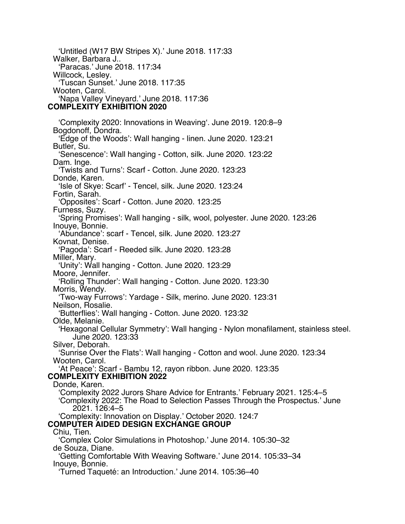'Untitled (W17 BW Stripes X).' June 2018. 117:33 Walker, Barbara J.. 'Paracas.' June 2018. 117:34 Willcock, Lesley. 'Tuscan Sunset.' June 2018. 117:35 Wooten, Carol. 'Napa Valley Vineyard.' June 2018. 117:36 **COMPLEXITY EXHIBITION 2020**

'Complexity 2020: Innovations in Weaving'. June 2019. 120:8–9 Bogdonoff, Dondra. 'Edge of the Woods': Wall hanging - linen. June 2020. 123:21 Butler, Su. 'Senescence': Wall hanging - Cotton, silk. June 2020. 123:22 Dam. Inge. 'Twists and Turns': Scarf - Cotton. June 2020. 123:23 Donde, Karen. 'Isle of Skye: Scarf' - Tencel, silk. June 2020. 123:24 Fortin, Sarah. 'Opposites': Scarf - Cotton. June 2020. 123:25 Furness, Suzy. 'Spring Promises': Wall hanging - silk, wool, polyester. June 2020. 123:26 Inouye, Bonnie. 'Abundance': scarf - Tencel, silk. June 2020. 123:27 Kovnat, Denise. 'Pagoda': Scarf - Reeded silk. June 2020. 123:28 Miller, Mary. 'Unity': Wall hanging - Cotton. June 2020. 123:29 Moore, Jennifer. 'Rolling Thunder': Wall hanging - Cotton. June 2020. 123:30 Morris, Wendy. 'Two-way Furrows': Yardage - Silk, merino. June 2020. 123:31 Neilson, Rosalie. 'Butterflies': Wall hanging - Cotton. June 2020. 123:32 Olde, Melanie. 'Hexagonal Cellular Symmetry': Wall hanging - Nylon monafilament, stainless steel. June 2020. 123:33 Silver, Deborah. 'Sunrise Over the Flats': Wall hanging - Cotton and wool. June 2020. 123:34 Wooten, Carol. 'At Peace': Scarf - Bambu 12, rayon ribbon. June 2020. 123:35 **COMPLEXITY EXHIBITION 2022** Donde, Karen. 'Complexity 2022 Jurors Share Advice for Entrants.' February 2021. 125:4–5 'Complexity 2022: The Road to Selection Passes Through the Prospectus.' June 2021. 126:4–5 'Complexity: Innovation on Display.' October 2020. 124:7 **COMPUTER AIDED DESIGN EXCHANGE GROUP** Chiu, Tien. 'Complex Color Simulations in Photoshop.' June 2014. 105:30–32 de Souza, Diane. 'Getting Comfortable With Weaving Software.' June 2014. 105:33–34 Inouye, Bonnie.

'Turned Taqueté: an Introduction.' June 2014. 105:36–40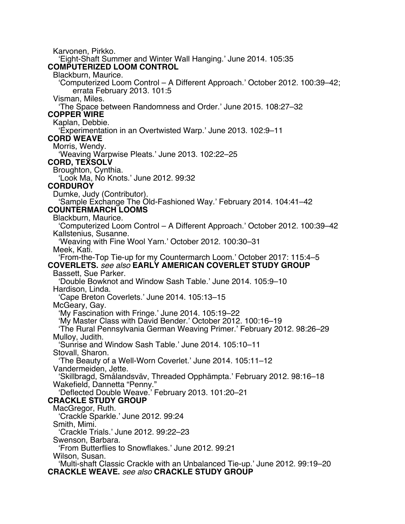Karvonen, Pirkko. 'Eight-Shaft Summer and Winter Wall Hanging.' June 2014. 105:35 **COMPUTERIZED LOOM CONTROL** Blackburn, Maurice. 'Computerized Loom Control – A Different Approach.' October 2012. 100:39–42; errata February 2013. 101:5 Visman, Miles. 'The Space between Randomness and Order.' June 2015. 108:27–32 **COPPER WIRE** Kaplan, Debbie. 'Experimentation in an Overtwisted Warp.' June 2013. 102:9–11 **CORD WEAVE** Morris, Wendy. 'Weaving Warpwise Pleats.' June 2013. 102:22–25 **CORD, TEXSOLV** Broughton, Cynthia. 'Look Ma, No Knots.' June 2012. 99:32 **CORDUROY** Dumke, Judy (Contributor). 'Sample Exchange The Old-Fashioned Way.' February 2014. 104:41–42 **COUNTERMARCH LOOMS** Blackburn, Maurice. 'Computerized Loom Control – A Different Approach.' October 2012. 100:39–42 Kallstenius, Susanne. 'Weaving with Fine Wool Yarn.' October 2012. 100:30–31 Meek, Kati. 'From-the-Top Tie-up for my Countermarch Loom.' October 2017: 115:4–5 **COVERLETS.** *see also* **EARLY AMERICAN COVERLET STUDY GROUP** Bassett, Sue Parker. 'Double Bowknot and Window Sash Table.' June 2014. 105:9–10 Hardison, Linda. 'Cape Breton Coverlets.' June 2014. 105:13–15 McGeary, Gay. 'My Fascination with Fringe.' June 2014. 105:19–22 'My Master Class with David Bender.' October 2012. 100:16–19 'The Rural Pennsylvania German Weaving Primer.' February 2012. 98:26–29 Mulloy, Judith. 'Sunrise and Window Sash Table.' June 2014. 105:10–11 Stovall, Sharon. 'The Beauty of a Well-Worn Coverlet.' June 2014. 105:11–12 Vandermeiden, Jette. 'Skillbragd, Smålandsväv, Threaded Opphämpta.' February 2012. 98:16–18 Wakefield, Dannetta "Penny." 'Deflected Double Weave.' February 2013. 101:20–21 **CRACKLE STUDY GROUP** MacGregor, Ruth. 'Crackle Sparkle.' June 2012. 99:24 Smith, Mimi. 'Crackle Trials.' June 2012. 99:22–23 Swenson, Barbara. 'From Butterflies to Snowflakes.' June 2012. 99:21 Wilson, Susan. 'Multi-shaft Classic Crackle with an Unbalanced Tie-up.' June 2012. 99:19–20 **CRACKLE WEAVE.** *see also* **CRACKLE STUDY GROUP**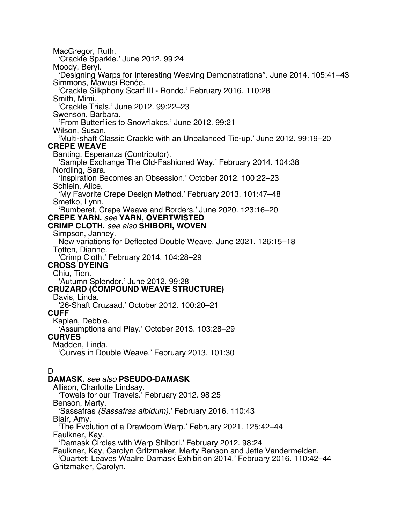MacGregor, Ruth. 'Crackle Sparkle.' June 2012. 99:24 Moody, Beryl. 'Designing Warps for Interesting Weaving Demonstrations''. June 2014. 105:41–43 Simmons, Mawusi Renée. 'Crackle Silkphony Scarf III - Rondo.' February 2016. 110:28 Smith, Mimi. 'Crackle Trials.' June 2012. 99:22–23 Swenson, Barbara. 'From Butterflies to Snowflakes.' June 2012. 99:21 Wilson, Susan. 'Multi-shaft Classic Crackle with an Unbalanced Tie-up.' June 2012. 99:19–20 **CREPE WEAVE** Banting, Esperanza (Contributor). 'Sample Exchange The Old-Fashioned Way.' February 2014. 104:38 Nordling, Sara. 'Inspiration Becomes an Obsession.' October 2012. 100:22–23 Schlein, Alice. 'My Favorite Crepe Design Method.' February 2013. 101:47–48 Smetko, Lynn. 'Bumberet, Crepe Weave and Borders.' June 2020. 123:16–20 **CREPE YARN.** *see* **YARN, OVERTWISTED CRIMP CLOTH.** *see also* **SHIBORI, WOVEN** Simpson, Janney. New variations for Deflected Double Weave. June 2021. 126:15–18 Totten, Dianne. 'Crimp Cloth.' February 2014. 104:28–29 **CROSS DYEING** Chiu, Tien. 'Autumn Splendor.' June 2012. 99:28 **CRUZARD (COMPOUND WEAVE STRUCTURE)** Davis, Linda. '26-Shaft Cruzaad.' October 2012. 100:20–21 **CUFF** Kaplan, Debbie. 'Assumptions and Play.' October 2013. 103:28–29 **CURVES** Madden, Linda. 'Curves in Double Weave.' February 2013. 101:30 D **DAMASK.** *see also* **PSEUDO-DAMASK** Allison, Charlotte Lindsay. 'Towels for our Travels.' February 2012. 98:25 Benson, Marty. 'Sassafras *(Sassafras albidum)*.' February 2016. 110:43

Blair, Amy.

'The Evolution of a Drawloom Warp.' February 2021. 125:42–44 Faulkner, Kay.

'Damask Circles with Warp Shibori.' February 2012. 98:24

Faulkner, Kay, Carolyn Gritzmaker, Marty Benson and Jette Vandermeiden.

'Quartet: Leaves Waalre Damask Exhibition 2014.' February 2016. 110:42–44 Gritzmaker, Carolyn.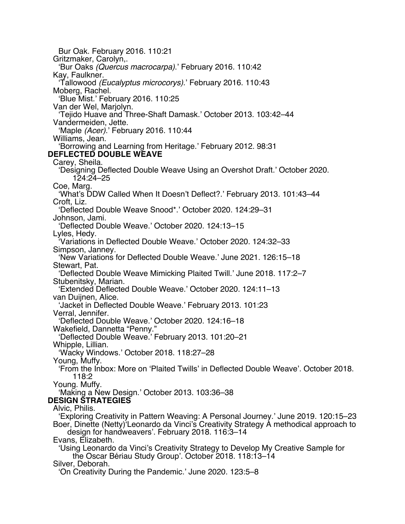Bur Oak. February 2016. 110:21 Gritzmaker, Carolyn,. 'Bur Oaks *(Quercus macrocarpa)*.' February 2016. 110:42 Kay, Faulkner. 'Tallowood *(Eucalyptus microcorys)*.' February 2016. 110:43 Moberg, Rachel. 'Blue Mist.' February 2016. 110:25 Van der Wel, Marjolyn. 'Tejido Huave and Three-Shaft Damask.' October 2013. 103:42–44 Vandermeiden, Jette. 'Maple *(Acer)*.' February 2016. 110:44 Williams, Jean. 'Borrowing and Learning from Heritage.' February 2012. 98:31 **DEFLECTED DOUBLE WEAVE** Carey, Sheila. 'Designing Deflected Double Weave Using an Overshot Draft.' October 2020. 124:24–25 Coe, Marg. 'What's DDW Called When It Doesn't Deflect?.' February 2013. 101:43–44 Croft, Liz. 'Deflected Double Weave Snood\*.' October 2020. 124:29–31 Johnson, Jami. 'Deflected Double Weave.' October 2020. 124:13–15 Lyles, Hedy. 'Variations in Deflected Double Weave.' October 2020. 124:32–33 Simpson, Janney. 'New Variations for Deflected Double Weave.' June 2021. 126:15–18 Stewart, Pat. 'Deflected Double Weave Mimicking Plaited Twill.' June 2018. 117:2–7 Stubenitsky, Marian. 'Extended Deflected Double Weave.' October 2020. 124:11–13 van Duijnen, Alice. 'Jacket in Deflected Double Weave.' February 2013. 101:23 Verral, Jennifer. 'Deflected Double Weave.' October 2020. 124:16–18 Wakefield, Dannetta "Penny." 'Deflected Double Weave.' February 2013. 101:20–21 Whipple, Lillian. 'Wacky Windows.' October 2018. 118:27–28 Young, Muffy. 'From the Inbox: More on 'Plaited Twills' in Deflected Double Weave'. October 2018. 118:2 Young. Muffy. 'Making a New Design.' October 2013. 103:36–38 **DESIGN STRATEGIES** Alvic, Philis. 'Exploring Creativity in Pattern Weaving: A Personal Journey.' June 2019. 120:15–23 Boer, Dinette (Netty)'Leonardo da Vinci's Creativity Strategy A methodical approach to design for handweavers'. February 2018. 116:3–14 Evans, Elizabeth. 'Using Leonardo da Vinci's Creativity Strategy to Develop My Creative Sample for the Oscar Bériau Study Group'. October 2018. 118:13–14 Silver, Deborah. 'On Creativity During the Pandemic.' June 2020. 123:5–8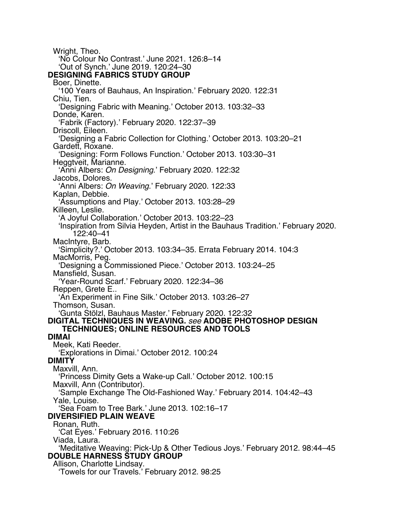Wright, Theo. 'No Colour No Contrast.' June 2021. 126:8–14 'Out of Synch.' June 2019. 120:24–30 **DESIGNING FABRICS STUDY GROUP** Boer, Dinette. '100 Years of Bauhaus, An Inspiration.' February 2020. 122:31 Chiu, Tien. 'Designing Fabric with Meaning.' October 2013. 103:32–33 Donde, Karen. 'Fabrik (Factory).' February 2020. 122:37–39 Driscoll, Eileen. 'Designing a Fabric Collection for Clothing.' October 2013. 103:20–21 Gardett, Roxane. 'Designing: Form Follows Function.' October 2013. 103:30–31 Heggtveit, Marianne. 'Anni Albers: *On Designing*.' February 2020. 122:32 Jacobs, Dolores. 'Anni Albers: *On Weaving*.' February 2020. 122:33 Kaplan, Debbie. 'Assumptions and Play.' October 2013. 103:28–29 Killeen, Leslie. 'A Joyful Collaboration.' October 2013. 103:22–23 'Inspiration from Silvia Heyden, Artist in the Bauhaus Tradition.' February 2020. 122:40–41 MacIntyre, Barb. 'Simplicity?.' October 2013. 103:34–35. Errata February 2014. 104:3 MacMorris, Peg. 'Designing a Commissioned Piece.' October 2013. 103:24–25 Mansfield, Susan. 'Year-Round Scarf.' February 2020. 122:34–36 Reppen, Grete E.. 'An Experiment in Fine Silk.' October 2013. 103:26–27 Thomson, Susan. 'Gunta Stölzl, Bauhaus Master.' February 2020. 122:32 **DIGITAL TECHNIQUES IN WEAVING.** *see* **ADOBE PHOTOSHOP DESIGN TECHNIQUES; ONLINE RESOURCES AND TOOLS DIMAI** Meek, Kati Reeder. 'Explorations in Dimai.' October 2012. 100:24 **DIMITY** Maxvill, Ann. 'Princess Dimity Gets a Wake-up Call.' October 2012. 100:15 Maxvill, Ann (Contributor). 'Sample Exchange The Old-Fashioned Way.' February 2014. 104:42–43 Yale, Louise. 'Sea Foam to Tree Bark.' June 2013. 102:16–17 **DIVERSIFIED PLAIN WEAVE** Ronan, Ruth. 'Cat Eyes.' February 2016. 110:26 Viada, Laura. 'Meditative Weaving: Pick-Up & Other Tedious Joys.' February 2012. 98:44–45 **DOUBLE HARNESS STUDY GROUP** Allison, Charlotte Lindsay. 'Towels for our Travels.' February 2012. 98:25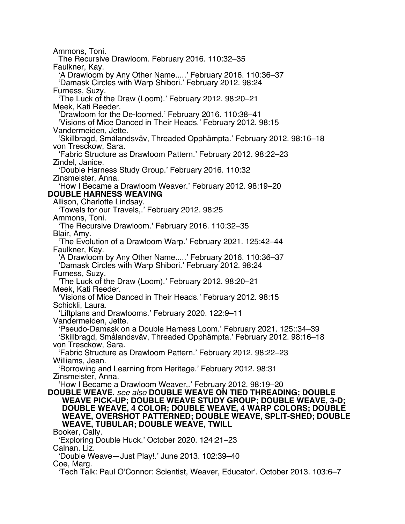Ammons, Toni. The Recursive Drawloom. February 2016. 110:32–35 Faulkner, Kay. 'A Drawloom by Any Other Name.....' February 2016. 110:36–37 'Damask Circles with Warp Shibori.' February 2012. 98:24 Furness, Suzy. 'The Luck of the Draw (Loom).' February 2012. 98:20–21 Meek, Kati Reeder. 'Drawloom for the De-loomed.' February 2016. 110:38–41 'Visions of Mice Danced in Their Heads.' February 2012. 98:15 Vandermeiden, Jette. 'Skillbragd, Smålandsväv, Threaded Opphämpta.' February 2012. 98:16–18 von Tresckow, Sara. 'Fabric Structure as Drawloom Pattern.' February 2012. 98:22–23 Zindel, Janice. 'Double Harness Study Group.' February 2016. 110:32 Zinsmeister, Anna. 'How I Became a Drawloom Weaver.' February 2012. 98:19–20 **DOUBLE HARNESS WEAVING** Allison, Charlotte Lindsay. 'Towels for our Travels,.' February 2012. 98:25 Ammons, Toni. 'The Recursive Drawloom.' February 2016. 110:32–35 Blair, Amy. 'The Evolution of a Drawloom Warp.' February 2021. 125:42–44 Faulkner, Kay. 'A Drawloom by Any Other Name.....' February 2016. 110:36–37 'Damask Circles with Warp Shibori.' February 2012. 98:24 Furness, Suzy. 'The Luck of the Draw (Loom).' February 2012. 98:20–21 Meek, Kati Reeder. 'Visions of Mice Danced in Their Heads.' February 2012. 98:15 Schickli, Laura. 'Liftplans and Drawlooms.' February 2020. 122:9–11 Vandermeiden, Jette. 'Pseudo-Damask on a Double Harness Loom.' February 2021. 125::34–39 'Skillbragd, Smålandsväv, Threaded Opphämpta.' February 2012. 98:16–18 von Tresckow, Sara. 'Fabric Structure as Drawloom Pattern.' February 2012. 98:22–23 Williams, Jean. 'Borrowing and Learning from Heritage.' February 2012. 98:31 Zinsmeister, Anna. 'How I Became a Drawloom Weaver,.' February 2012. 98:19–20 **DOUBLE WEAVE.** *see also* **DOUBLE WEAVE ON TIED THREADING; DOUBLE WEAVE PICK-UP; DOUBLE WEAVE STUDY GROUP; DOUBLE WEAVE, 3-D; DOUBLE WEAVE, 4 COLOR; DOUBLE WEAVE, 4 WARP COLORS; DOUBLE WEAVE, OVERSHOT PATTERNED; DOUBLE WEAVE, SPLIT-SHED; DOUBLE WEAVE, TUBULAR; DOUBLE WEAVE, TWILL** Booker, Cally. 'Exploring Double Huck.' October 2020. 124:21–23 Calnan. Liz. 'Double Weave—Just Play!.' June 2013. 102:39–40 Coe, Marg. 'Tech Talk: Paul O'Connor: Scientist, Weaver, Educator'. October 2013. 103:6–7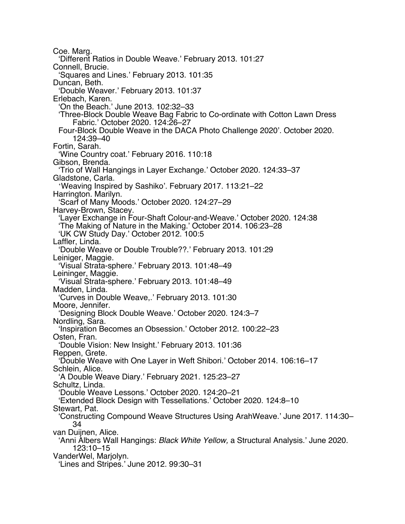Coe. Marg. 'Different Ratios in Double Weave.' February 2013. 101:27 Connell, Brucie. 'Squares and Lines.' February 2013. 101:35 Duncan, Beth. 'Double Weaver.' February 2013. 101:37 Erlebach, Karen. 'On the Beach.' June 2013. 102:32–33 'Three-Block Double Weave Bag Fabric to Co-ordinate with Cotton Lawn Dress Fabric.' October 2020. 124:26–27 Four-Block Double Weave in the DACA Photo Challenge 2020'. October 2020. 124:39–40 Fortin, Sarah. 'Wine Country coat.' February 2016. 110:18 Gibson, Brenda. 'Trio of Wall Hangings in Layer Exchange.' October 2020. 124:33–37 Gladstone, Carla. 'Weaving Inspired by Sashiko'. February 2017. 113:21–22 Harrington. Marilyn. 'Scarf of Many Moods.' October 2020. 124:27–29 Harvey-Brown, Stacey. 'Layer Exchange in Four-Shaft Colour-and-Weave.' October 2020. 124:38 'The Making of Nature in the Making.' October 2014. 106:23–28 'UK CW Study Day.' October 2012. 100:5 Laffler, Linda. 'Double Weave or Double Trouble??.' February 2013. 101:29 Leiniger, Maggie. 'Visual Strata-sphere.' February 2013. 101:48–49 Leininger, Maggie. 'Visual Strata-sphere.' February 2013. 101:48–49 Madden, Linda. 'Curves in Double Weave,.' February 2013. 101:30 Moore, Jennifer. 'Designing Block Double Weave.' October 2020. 124:3–7 Nordling, Sara. 'Inspiration Becomes an Obsession.' October 2012. 100:22–23 Osten, Fran. 'Double Vision: New Insight.' February 2013. 101:36 Reppen, Grete. 'Double Weave with One Layer in Weft Shibori.' October 2014. 106:16–17 Schlein, Alice. 'A Double Weave Diary.' February 2021. 125:23–27 Schultz, Linda. 'Double Weave Lessons.' October 2020. 124:20–21 'Extended Block Design with Tessellations.' October 2020. 124:8–10 Stewart, Pat. 'Constructing Compound Weave Structures Using ArahWeave.' June 2017. 114:30– 34 van Duijnen, Alice. 'Anni Albers Wall Hangings: *Black White Yellow,* a Structural Analysis.' June 2020. 123:10–15 VanderWel, Marjolyn. 'Lines and Stripes.' June 2012. 99:30–31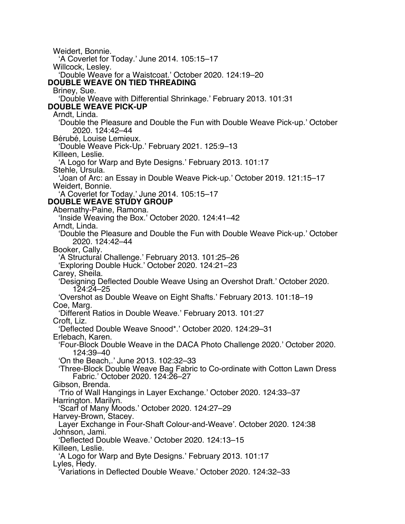Weidert, Bonnie. 'A Coverlet for Today.' June 2014. 105:15–17 Willcock, Lesley. 'Double Weave for a Waistcoat.' October 2020. 124:19–20 **DOUBLE WEAVE ON TIED THREADING** Briney, Sue. 'Double Weave with Differential Shrinkage.' February 2013. 101:31 **DOUBLE WEAVE PICK-UP** Arndt, Linda. 'Double the Pleasure and Double the Fun with Double Weave Pick-up.' October 2020. 124:42–44 Bérubé, Louise Lemieux. 'Double Weave Pick-Up.' February 2021. 125:9–13 Killeen, Leslie. 'A Logo for Warp and Byte Designs.' February 2013. 101:17 Stehle, Ursula. 'Joan of Arc: an Essay in Double Weave Pick-up.' October 2019. 121:15–17 Weidert, Bonnie. 'A Coverlet for Today.' June 2014. 105:15–17 **DOUBLE WEAVE STUDY GROUP** Abernathy-Paine, Ramona. 'Inside Weaving the Box.' October 2020. 124:41–42 Arndt, Linda. 'Double the Pleasure and Double the Fun with Double Weave Pick-up.' October 2020. 124:42–44 Booker, Cally. 'A Structural Challenge.' February 2013. 101:25–26 'Exploring Double Huck.' October 2020. 124:21–23 Carey, Sheila. 'Designing Deflected Double Weave Using an Overshot Draft.' October 2020. 124:24–25 'Overshot as Double Weave on Eight Shafts.' February 2013. 101:18–19 Coe, Marg. 'Different Ratios in Double Weave.' February 2013. 101:27 Croft, Liz. 'Deflected Double Weave Snood\*.' October 2020. 124:29–31 Erlebach, Karen. 'Four-Block Double Weave in the DACA Photo Challenge 2020.' October 2020. 124:39–40 'On the Beach,.' June 2013. 102:32–33 'Three-Block Double Weave Bag Fabric to Co-ordinate with Cotton Lawn Dress Fabric.' October 2020. 124:26–27 Gibson, Brenda. 'Trio of Wall Hangings in Layer Exchange.' October 2020. 124:33–37 Harrington. Marilyn. 'Scarf of Many Moods.' October 2020. 124:27–29 Harvey-Brown, Stacey. Layer Exchange in Four-Shaft Colour-and-Weave'. October 2020. 124:38 Johnson, Jami. 'Deflected Double Weave.' October 2020. 124:13–15 Killeen, Leslie. 'A Logo for Warp and Byte Designs.' February 2013. 101:17 Lyles, Hedv. 'Variations in Deflected Double Weave.' October 2020. 124:32–33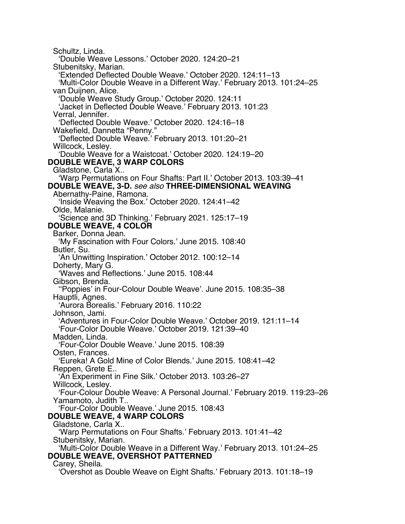Schultz, Linda. 'Double Weave Lessons.' October 2020. 124:20–21 Stubenitsky, Marian. 'Extended Deflected Double Weave.' October 2020. 124:11–13 'Multi-Color Double Weave in a Different Way.' February 2013. 101:24–25 van Duijnen, Alice. 'Double Weave Study Group.' October 2020. 124:11 'Jacket in Deflected Double Weave.' February 2013. 101:23 Verral, Jennifer. 'Deflected Double Weave.' October 2020. 124:16–18 Wakefield, Dannetta "Penny." 'Deflected Double Weave.' February 2013. 101:20–21 Willcock, Lesley. 'Double Weave for a Waistcoat.' October 2020. 124:19–20 **DOUBLE WEAVE, 3 WARP COLORS** Gladstone, Carla X.. 'Warp Permutations on Four Shafts: Part II.' October 2013. 103:39–41 **DOUBLE WEAVE, 3-D.** *see also* **THREE-DIMENSIONAL WEAVING** Abernathy-Paine, Ramona. 'Inside Weaving the Box.' October 2020. 124:41–42 Olde, Malanie. 'Science and 3D Thinking.' February 2021. 125:17–19 **DOUBLE WEAVE, 4 COLOR** Barker, Donna Jean. 'My Fascination with Four Colors.' June 2015. 108:40 Butler, Su. 'An Unwitting Inspiration.' October 2012. 100:12–14 Doherty, Mary G. 'Waves and Reflections.' June 2015. 108:44 Gibson, Brenda. ''Poppies' in Four-Colour Double Weave'. June 2015. 108:35–38 Hauptli, Agnes. 'Aurora Borealis.' February 2016. 110:22 Johnson, Jami. 'Adventures in Four-Color Double Weave.' October 2019. 121:11–14 'Four-Color Double Weave.' October 2019. 121:39–40 Madden, Linda. 'Four-Color Double Weave.' June 2015. 108:39 Osten, Frances. 'Eureka! A Gold Mine of Color Blends.' June 2015. 108:41–42 Reppen, Grete E.. 'An Experiment in Fine Silk.' October 2013. 103:26–27 Willcock, Lesley. 'Four-Colour Double Weave: A Personal Journal.' February 2019. 119:23–26 Yamamoto, Judith T.. 'Four-Color Double Weave.' June 2015. 108:43 **DOUBLE WEAVE, 4 WARP COLORS** Gladstone, Carla X.. 'Warp Permutations on Four Shafts.' February 2013. 101:41–42 Stubenitsky, Marian. 'Multi-Color Double Weave in a Different Way.' February 2013. 101:24–25 **DOUBLE WEAVE, OVERSHOT PATTERNED** Carey, Sheila. 'Overshot as Double Weave on Eight Shafts.' February 2013. 101:18–19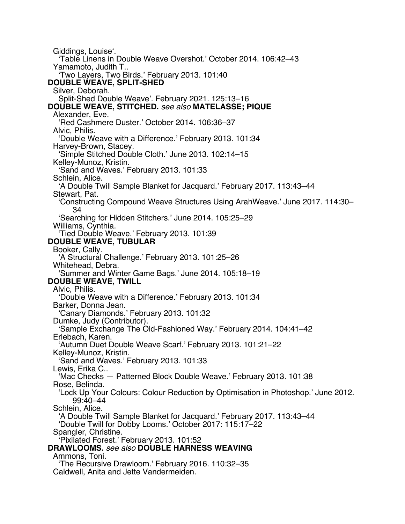Giddings, Louise'. 'Table Linens in Double Weave Overshot.' October 2014. 106:42–43 Yamamoto, Judith T.. 'Two Layers, Two Birds.' February 2013. 101:40 **DOUBLE WEAVE, SPLIT-SHED** Silver, Deborah. Split-Shed Double Weave'. February 2021. 125:13–16 **DOUBLE WEAVE, STITCHED.** *see also* **MATELASSE; PIQUE** Alexander, Eve. Red Cashmere Duster.' October 2014. 106:36-37 Alvic, Philis. 'Double Weave with a Difference.' February 2013. 101:34 Harvey-Brown, Stacey. 'Simple Stitched Double Cloth.' June 2013. 102:14–15 Kelley-Munoz, Kristin. 'Sand and Waves.' February 2013. 101:33 Schlein, Alice. 'A Double Twill Sample Blanket for Jacquard.' February 2017. 113:43–44 Stewart, Pat. 'Constructing Compound Weave Structures Using ArahWeave.' June 2017. 114:30– 34 'Searching for Hidden Stitchers.' June 2014. 105:25–29 Williams, Cynthia. 'Tied Double Weave.' February 2013. 101:39 **DOUBLE WEAVE, TUBULAR** Booker, Cally. 'A Structural Challenge.' February 2013. 101:25–26 Whitehead, Debra. 'Summer and Winter Game Bags.' June 2014. 105:18–19 **DOUBLE WEAVE, TWILL** Alvic, Philis. 'Double Weave with a Difference.' February 2013. 101:34 Barker, Donna Jean. 'Canary Diamonds.' February 2013. 101:32 Dumke, Judy (Contributor). 'Sample Exchange The Old-Fashioned Way.' February 2014. 104:41–42 Erlebach, Karen. 'Autumn Duet Double Weave Scarf.' February 2013. 101:21–22 Kelley-Munoz, Kristin. Sand and Waves.' February 2013. 101:33 Lewis, Erika C.. 'Mac Checks — Patterned Block Double Weave.' February 2013. 101:38 Rose, Belinda. 'Lock Up Your Colours: Colour Reduction by Optimisation in Photoshop.' June 2012. 99:40–44 Schlein, Alice. 'A Double Twill Sample Blanket for Jacquard.' February 2017. 113:43–44 'Double Twill for Dobby Looms.' October 2017: 115:17–22 Spangler, Christine. Pixilated Forest.' February 2013. 101:52 **DRAWLOOMS.** *see also* **DOUBLE HARNESS WEAVING** Ammons, Toni. 'The Recursive Drawloom.' February 2016. 110:32–35 Caldwell, Anita and Jette Vandermeiden.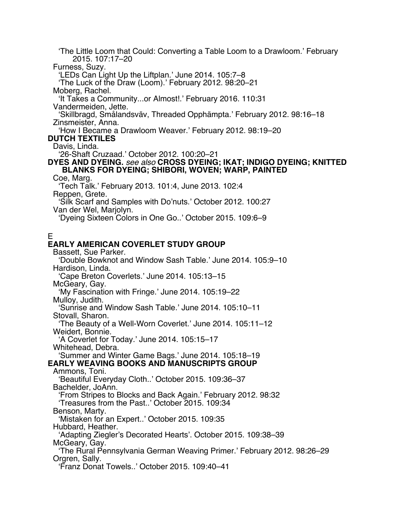'The Little Loom that Could: Converting a Table Loom to a Drawloom.' February 2015. 107:17–20 Furness, Suzy. 'LEDs Can Light Up the Liftplan.' June 2014. 105:7–8 'The Luck of the Draw (Loom).' February 2012. 98:20–21 Moberg, Rachel. 'It Takes a Community...or Almost!.' February 2016. 110:31 Vandermeiden, Jette. 'Skillbragd, Smålandsväv, Threaded Opphämpta.' February 2012. 98:16–18 Zinsmeister, Anna. 'How I Became a Drawloom Weaver.' February 2012. 98:19–20 **DUTCH TEXTILES** Davis, Linda. '26-Shaft Cruzaad.' October 2012. 100:20–21 **DYES AND DYEING.** *see also* **CROSS DYEING; IKAT; INDIGO DYEING; KNITTED BLANKS FOR DYEING; SHIBORI, WOVEN; WARP, PAINTED** Coe, Marg. 'Tech Talk.' February 2013. 101:4, June 2013. 102:4 Reppen, Grete. 'Silk Scarf and Samples with Do'nuts.' October 2012. 100:27 Van der Wel, Marjolyn. 'Dyeing Sixteen Colors in One Go..' October 2015. 109:6–9 E **EARLY AMERICAN COVERLET STUDY GROUP** Bassett, Sue Parker. 'Double Bowknot and Window Sash Table.' June 2014. 105:9–10 Hardison, Linda. 'Cape Breton Coverlets.' June 2014. 105:13–15 McGeary, Gay. 'My Fascination with Fringe.' June 2014. 105:19–22 Mulloy, Judith. 'Sunrise and Window Sash Table.' June 2014. 105:10–11 Stovall, Sharon. 'The Beauty of a Well-Worn Coverlet.' June 2014. 105:11–12 Weidert, Bonnie. 'A Coverlet for Today.' June 2014. 105:15–17 Whitehead, Debra. 'Summer and Winter Game Bags.' June 2014. 105:18–19 **EARLY WEAVING BOOKS AND MANUSCRIPTS GROUP** Ammons, Toni. 'Beautiful Everyday Cloth..' October 2015. 109:36–37 Bachelder, JoAnn. 'From Stripes to Blocks and Back Again.' February 2012. 98:32 'Treasures from the Past..' October 2015. 109:34 Benson, Marty. 'Mistaken for an Expert..' October 2015. 109:35 Hubbard, Heather. 'Adapting Ziegler's Decorated Hearts'. October 2015. 109:38–39 McGeary, Gay. 'The Rural Pennsylvania German Weaving Primer.' February 2012. 98:26–29 Orgren, Sally. 'Franz Donat Towels..' October 2015. 109:40–41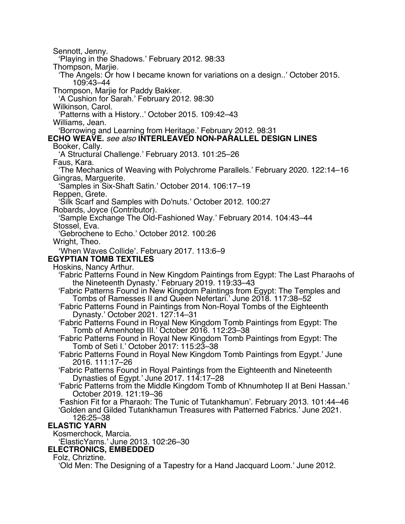Sennott, Jenny. 'Playing in the Shadows.' February 2012. 98:33 Thompson, Marjie. 'The Angels: Or how I became known for variations on a design..' October 2015. 109:43–44 Thompson, Marjie for Paddy Bakker. 'A Cushion for Sarah.' February 2012. 98:30 Wilkinson, Carol. 'Patterns with a History..' October 2015. 109:42–43 Williams, Jean. 'Borrowing and Learning from Heritage.' February 2012. 98:31 **ECHO WEAVE.** *see also* **INTERLEAVED NON-PARALLEL DESIGN LINES** Booker, Cally. 'A Structural Challenge.' February 2013. 101:25–26 Faus, Kara. 'The Mechanics of Weaving with Polychrome Parallels.' February 2020. 122:14–16 Gingras, Marguerite. 'Samples in Six-Shaft Satin.' October 2014. 106:17–19 Reppen, Grete. 'Silk Scarf and Samples with Do'nuts.' October 2012. 100:27 Robards, Joyce (Contributor). 'Sample Exchange The Old-Fashioned Way.' February 2014. 104:43–44 Stossel, Eva. 'Gebrochene to Echo.' October 2012. 100:26 Wright, Theo. 'When Waves Collide'. February 2017. 113:6–9 **EGYPTIAN TOMB TEXTILES** Hoskins, Nancy Arthur. 'Fabric Patterns Found in New Kingdom Paintings from Egypt: The Last Pharaohs of the Nineteenth Dynasty.' February 2019. 119:33–43 'Fabric Patterns Found in New Kingdom Paintings from Egypt: The Temples and Tombs of Ramesses II and Queen Nefertari.' June 2018. 117:38–52 'Fabric Patterns Found in Paintings from Non-Royal Tombs of the Eighteenth Dynasty.' October 2021. 127:14–31 'Fabric Patterns Found in Royal New Kingdom Tomb Paintings from Egypt: The Tomb of Amenhotep III.' October 2016. 112:23–38 'Fabric Patterns Found in Royal New Kingdom Tomb Paintings from Egypt: The Tomb of Seti I.' October 2017: 115:23–38 'Fabric Patterns Found in Royal New Kingdom Tomb Paintings from Egypt.' June 2016. 111:17–26 'Fabric Patterns Found in Royal Paintings from the Eighteenth and Nineteenth Dynasties of Egypt.' June 2017. 114:17–28 'Fabric Patterns from the Middle Kingdom Tomb of Khnumhotep II at Beni Hassan.' Fashion Fit for a Pharaoh: The Tunic of Tutankhamun'. February 2013. 101:44–46 'Golden and Gilded Tutankhamun Treasures with Patterned Fabrics.' June 2021. 126:25–38 **ELASTIC YARN** Kosmerchock, Marcia. 'ElasticYarns.' June 2013. 102:26–30 **ELECTRONICS, EMBEDDED** Folz, Chriztine. 'Old Men: The Designing of a Tapestry for a Hand Jacquard Loom.' June 2012.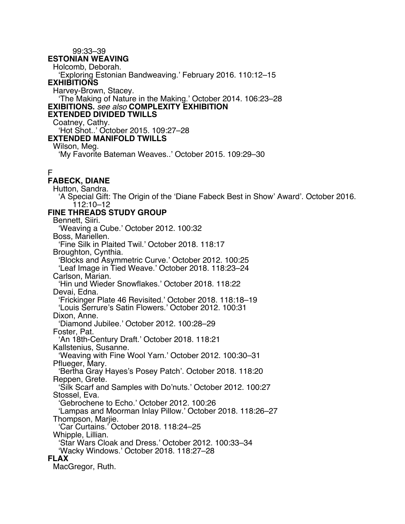99:33–39 **ESTONIAN WEAVING** Holcomb, Deborah. 'Exploring Estonian Bandweaving.' February 2016. 110:12–15 **EXHIBITIONS** Harvey-Brown, Stacey. 'The Making of Nature in the Making.' October 2014. 106:23–28 **EXIBITIONS.** *see also* **COMPLEXITY EXHIBITION EXTENDED DIVIDED TWILLS** Coatney, Cathy. 'Hot Shot..' October 2015. 109:27–28 **EXTENDED MANIFOLD TWILLS** Wilson, Meg. 'My Favorite Bateman Weaves..' October 2015. 109:29–30 F **FABECK, DIANE** Hutton, Sandra. 'A Special Gift: The Origin of the 'Diane Fabeck Best in Show' Award'. October 2016. 112:10–12 **FINE THREADS STUDY GROUP** Bennett, Siiri. 'Weaving a Cube.' October 2012. 100:32 Boss, Mariellen. 'Fine Silk in Plaited Twil.' October 2018. 118:17 Broughton, Cynthia. 'Blocks and Asymmetric Curve.' October 2012. 100:25 'Leaf Image in Tied Weave.' October 2018. 118:23–24 Carlson, Marian. 'Hin und Wieder Snowflakes.' October 2018. 118:22 Devai, Edna. 'Frickinger Plate 46 Revisited.' October 2018. 118:18–19 'Louis Serrure's Satin Flowers.' October 2012. 100:31 Dixon, Anne. 'Diamond Jubilee.' October 2012. 100:28–29 Foster, Pat. 'An 18th-Century Draft.' October 2018. 118:21 Kallstenius, Susanne. 'Weaving with Fine Wool Yarn.' October 2012. 100:30–31 Pflueger, Mary. 'Bertha Gray Hayes's Posey Patch'. October 2018. 118:20 Reppen, Grete. 'Silk Scarf and Samples with Do'nuts.' October 2012. 100:27 Stossel, Eva. 'Gebrochene to Echo.' October 2012. 100:26 'Lampas and Moorman Inlay Pillow.' October 2018. 118:26–27 Thompson, Marije. 'Car Curtains.' October 2018. 118:24–25 Whipple, Lillian. 'Star Wars Cloak and Dress.' October 2012. 100:33–34 'Wacky Windows.' October 2018. 118:27–28 **FLAX** MacGregor, Ruth.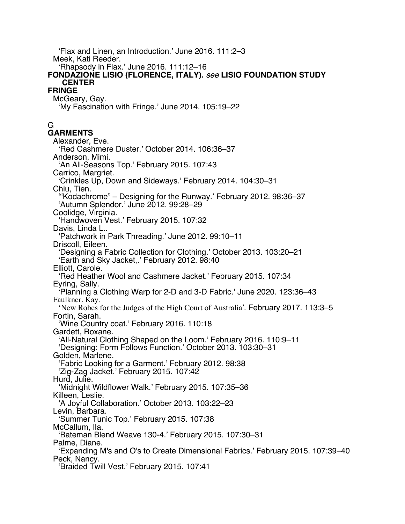'Flax and Linen, an Introduction.' June 2016. 111:2–3 Meek, Kati Reeder. 'Rhapsody in Flax.' June 2016. 111:12–16 **FONDAZIONE LISIO (FLORENCE, ITALY).** *see* **LISIO FOUNDATION STUDY CENTER FRINGE** McGeary, Gay. 'My Fascination with Fringe.' June 2014. 105:19–22 G **GARMENTS** Alexander, Eve. 'Red Cashmere Duster.' October 2014. 106:36–37 Anderson, Mimi. 'An All-Seasons Top.' February 2015. 107:43 Carrico, Margriet. 'Crinkles Up, Down and Sideways.' February 2014. 104:30–31 Chiu, Tien. '"Kodachrome" – Designing for the Runway.' February 2012. 98:36–37 'Autumn Splendor.' June 2012. 99:28–29 Coolidge, Virginia. 'Handwoven Vest.' February 2015. 107:32 Davis, Linda L.. 'Patchwork in Park Threading.' June 2012. 99:10–11 Driscoll, Eileen. 'Designing a Fabric Collection for Clothing.' October 2013. 103:20–21 'Earth and Sky Jacket,.' February 2012. 98:40 Elliott, Carole. 'Red Heather Wool and Cashmere Jacket.' February 2015. 107:34 Eyring, Sally. 'Planning a Clothing Warp for 2-D and 3-D Fabric.' June 2020. 123:36–43 Faulkner, Kay. 'New Robes for the Judges of the High Court of Australia'. February 2017. 113:3–5 Fortin, Sarah. 'Wine Country coat.' February 2016. 110:18 Gardett, Roxane. 'All-Natural Clothing Shaped on the Loom.' February 2016. 110:9–11 'Designing: Form Follows Function.' October 2013. 103:30–31 Golden, Marlene. 'Fabric Looking for a Garment.' February 2012. 98:38 'Zig-Zag Jacket.' February 2015. 107:42 Hurd, Julie. 'Midnight Wildflower Walk.' February 2015. 107:35–36 Killeen, Leslie. 'A Joyful Collaboration.' October 2013. 103:22–23 Levin, Barbara. 'Summer Tunic Top.' February 2015. 107:38 McCallum, Ila. 'Bateman Blend Weave 130-4.' February 2015. 107:30–31 Palme, Diane. 'Expanding M's and O's to Create Dimensional Fabrics.' February 2015. 107:39–40 Peck, Nancy. 'Braided Twill Vest.' February 2015. 107:41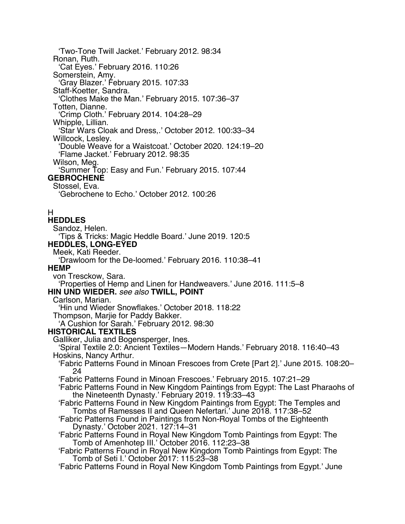'Two-Tone Twill Jacket.' February 2012. 98:34 Ronan, Ruth. 'Cat Eyes.' February 2016. 110:26 Somerstein, Amy. 'Gray Blazer.' February 2015. 107:33 Staff-Koetter, Sandra. 'Clothes Make the Man.' February 2015. 107:36–37 Totten, Dianne. 'Crimp Cloth.' February 2014. 104:28–29 Whipple, Lillian. 'Star Wars Cloak and Dress,.' October 2012. 100:33–34 Willcock, Lesley. 'Double Weave for a Waistcoat.' October 2020. 124:19–20 'Flame Jacket.' February 2012. 98:35 Wilson, Meg. 'Summer Top: Easy and Fun.' February 2015. 107:44 **GEBROCHENE** Stossel, Eva. 'Gebrochene to Echo.' October 2012. 100:26 H **HEDDLES** Sandoz, Helen. 'Tips & Tricks: Magic Heddle Board.' June 2019. 120:5 **HEDDLES, LONG-EYED** Meek, Kati Reeder. 'Drawloom for the De-loomed.' February 2016. 110:38–41 **HEMP** von Tresckow, Sara. 'Properties of Hemp and Linen for Handweavers.' June 2016. 111:5–8 **HIN UND WIEDER.** *see also* **TWILL, POINT** Carlson, Marian. 'Hin und Wieder Snowflakes.' October 2018. 118:22 Thompson, Marjie for Paddy Bakker. 'A Cushion for Sarah.' February 2012. 98:30 **HISTORICAL TEXTILES** Galliker, Julia and Bogensperger, Ines. 'Spiral Textile 2.0: Ancient Textiles—Modern Hands.' February 2018. 116:40–43 Hoskins, Nancy Arthur. 'Fabric Patterns Found in Minoan Frescoes from Crete [Part 2].' June 2015. 108:20– 24 'Fabric Patterns Found in Minoan Frescoes.' February 2015. 107:21–29 'Fabric Patterns Found in New Kingdom Paintings from Egypt: The Last Pharaohs of the Nineteenth Dynasty.' February 2019. 119:33–43 'Fabric Patterns Found in New Kingdom Paintings from Egypt: The Temples and Tombs of Ramesses II and Queen Nefertari.' June 2018. 117:38–52 'Fabric Patterns Found in Paintings from Non-Royal Tombs of the Eighteenth Dynasty.' October 2021. 127:14–31 'Fabric Patterns Found in Royal New Kingdom Tomb Paintings from Egypt: The Tomb of Amenhotep III.' October 2016. 112:23–38 'Fabric Patterns Found in Royal New Kingdom Tomb Paintings from Egypt: The Tomb of Seti I.' October 2017: 115:23–38 'Fabric Patterns Found in Royal New Kingdom Tomb Paintings from Egypt.' June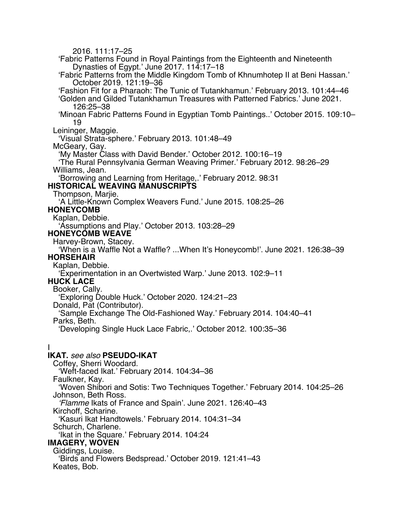2016. 111:17–25 'Fabric Patterns Found in Royal Paintings from the Eighteenth and Nineteenth Dynasties of Egypt.' June 2017. 114:17–18 'Fabric Patterns from the Middle Kingdom Tomb of Khnumhotep II at Beni Hassan.' October 2019. 121:19–36 'Fashion Fit for a Pharaoh: The Tunic of Tutankhamun.' February 2013. 101:44–46 'Golden and Gilded Tutankhamun Treasures with Patterned Fabrics.' June 2021. 126:25–38 'Minoan Fabric Patterns Found in Egyptian Tomb Paintings..' October 2015. 109:10– 19 Leininger, Maggie. 'Visual Strata-sphere.' February 2013. 101:48–49 McGeary, Gay. 'My Master Class with David Bender.' October 2012. 100:16–19 'The Rural Pennsylvania German Weaving Primer.' February 2012. 98:26–29 Williams, Jean. 'Borrowing and Learning from Heritage,.' February 2012. 98:31 **HISTORICAL WEAVING MANUSCRIPTS** Thompson, Marjie. 'A Little-Known Complex Weavers Fund.' June 2015. 108:25–26 **HONEYCOMB** Kaplan, Debbie. 'Assumptions and Play.' October 2013. 103:28–29 **HONEYCOMB WEAVE** Harvey-Brown, Stacey. 'When is a Waffle Not a Waffle? ...When It's Honeycomb!'. June 2021. 126:38–39 **HORSEHAIR** Kaplan, Debbie. 'Experimentation in an Overtwisted Warp.' June 2013. 102:9–11 **HUCK LACE** Booker, Cally. 'Exploring Double Huck.' October 2020. 124:21–23 Donald, Pat (Contributor). 'Sample Exchange The Old-Fashioned Way.' February 2014. 104:40–41 Parks, Beth. 'Developing Single Huck Lace Fabric,.' October 2012. 100:35–36 I **IKAT.** *see also* **PSEUDO-IKAT** Coffey, Sherri Woodard. 'Weft-faced Ikat.' February 2014. 104:34–36 Faulkner, Kay. 'Woven Shibori and Sotis: Two Techniques Together.' February 2014. 104:25–26 Johnson, Beth Ross. *'Flamme* Ikats of France and Spain'. June 2021. 126:40–43 Kirchoff, Scharine. 'Kasuri Ikat Handtowels.' February 2014. 104:31–34 Schurch, Charlene. 'Ikat in the Square.' February 2014. 104:24 **IMAGERY, WOVEN** Giddings, Louise. 'Birds and Flowers Bedspread.' October 2019. 121:41–43 Keates, Bob.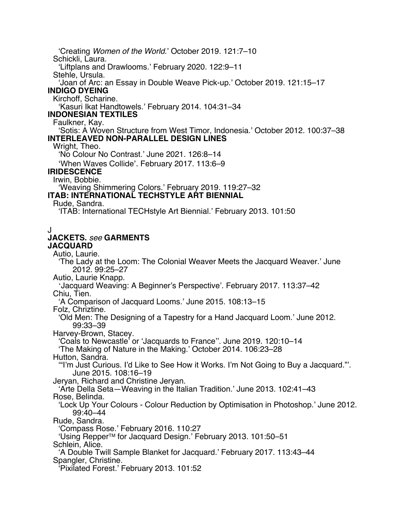'Creating *Women of the World*.' October 2019. 121:7–10 Schickli, Laura. 'Liftplans and Drawlooms.' February 2020. 122:9–11 Stehle, Ursula. 'Joan of Arc: an Essay in Double Weave Pick-up.' October 2019. 121:15–17 **INDIGO DYEING** Kirchoff, Scharine. 'Kasuri Ikat Handtowels.' February 2014. 104:31–34 **INDONESIAN TEXTILES** Faulkner, Kay. 'Sotis: A Woven Structure from West Timor, Indonesia.' October 2012. 100:37–38 **INTERLEAVED NON-PARALLEL DESIGN LINES** Wright, Theo. 'No Colour No Contrast.' June 2021. 126:8–14 'When Waves Collide'. February 2017. 113:6–9 **IRIDESCENCE** Irwin, Bobbie. 'Weaving Shimmering Colors.' February 2019. 119:27–32 **ITAB: INTERNATIONAL TECHSTYLE ART BIENNIAL** Rude, Sandra. 'ITAB: International TECHstyle Art Biennial.' February 2013. 101:50 J **JACKETS.** *see* **GARMENTS JACQUARD** Autio, Laurie. 'The Lady at the Loom: The Colonial Weaver Meets the Jacquard Weaver.' June 2012. 99:25–27 Autio, Laurie Knapp. 'Jacquard Weaving: A Beginner's Perspective'. February 2017. 113:37–42 Chiu, Tien. 'A Comparison of Jacquard Looms.' June 2015. 108:13–15 Folz, Chriztine. 'Old Men: The Designing of a Tapestry for a Hand Jacquard Loom.' June 2012. 99:33–39 Harvey-Brown, Stacey. 'Coals to Newcastle' or 'Jacquards to France''. June 2019. 120:10–14 'The Making of Nature in the Making.' October 2014. 106:23–28 Hutton, Sandra. '"I'm Just Curious. I'd Like to See How it Works. I'm Not Going to Buy a Jacquard."'. June 2015. 108:16–19 Jeryan, Richard and Christine Jeryan. 'Arte Della Seta—Weaving in the Italian Tradition.' June 2013. 102:41–43 Rose, Belinda. 'Lock Up Your Colours - Colour Reduction by Optimisation in Photoshop.' June 2012. 99:40–44 Rude, Sandra. 'Compass Rose.' February 2016. 110:27 'Using RepperTM for Jacquard Design.' February 2013. 101:50–51 Schlein, Alice. 'A Double Twill Sample Blanket for Jacquard.' February 2017. 113:43–44 Spangler, Christine. 'Pixilated Forest.' February 2013. 101:52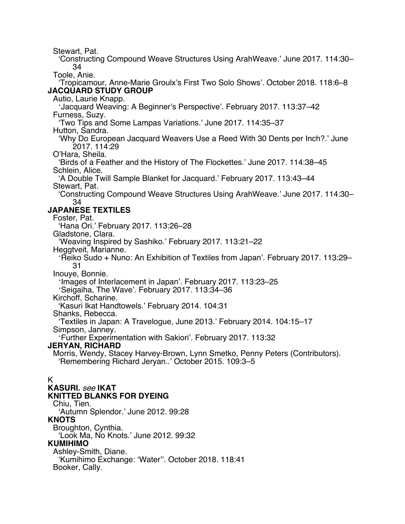Stewart, Pat.

'Constructing Compound Weave Structures Using ArahWeave.' June 2017. 114:30– 34

Toole, Anie.

'Tropicamour, Anne-Marie Groulx's First Two Solo Shows'. October 2018. 118:6–8 **JACQUARD STUDY GROUP**

Autio, Laurie Knapp.

'Jacquard Weaving: A Beginner's Perspective'. February 2017. 113:37–42 Furness, Suzy.

'Two Tips and Some Lampas Variations.' June 2017. 114:35–37

Hutton, Sandra.

'Why Do European Jacquard Weavers Use a Reed With 30 Dents per Inch?.' June 2017. 114:29

O'Hara, Sheila.

'Birds of a Feather and the History of The Flockettes.' June 2017. 114:38–45 Schlein, Alice.

'A Double Twill Sample Blanket for Jacquard.' February 2017. 113:43–44 Stewart, Pat.

'Constructing Compound Weave Structures Using ArahWeave.' June 2017. 114:30– 34

# **JAPANESE TEXTILES**

Foster, Pat.

'Hana Ori.' February 2017. 113:26–28

Gladstone, Clara.

'Weaving Inspired by Sashiko.' February 2017. 113:21–22

Heggtveit, Marianne.

'Reiko Sudo + Nuno: An Exhibition of Textiles from Japan'. February 2017. 113:29– 31

Inouye, Bonnie.

'Images of Interlacement in Japan'. February 2017. 113:23–25

'Seigaiha, The Wave'. February 2017. 113:34–36

Kirchoff, Scharine.

'Kasuri Ikat Handtowels.' February 2014. 104:31

Shanks, Rebecca.

'Textiles in Japan: A Travelogue, June 2013.' February 2014. 104:15–17 Simpson, Janney.

'Further Experimentation with Sakiori'. February 2017. 113:32

## **JERYAN, RICHARD**

Morris, Wendy, Stacey Harvey-Brown, Lynn Smetko, Penny Peters (Contributors). 'Remembering Richard Jeryan..' October 2015. 109:3–5

## K

# **KASURI.** *see* **IKAT**

## **KNITTED BLANKS FOR DYEING**

Chiu, Tien. 'Autumn Splendor.' June 2012. 99:28

**KNOTS**

Broughton, Cynthia.

'Look Ma, No Knots.' June 2012. 99:32

## **KUMIHIMO**

Ashley-Smith, Diane. 'Kumihimo Exchange: 'Water''. October 2018. 118:41 Booker, Cally.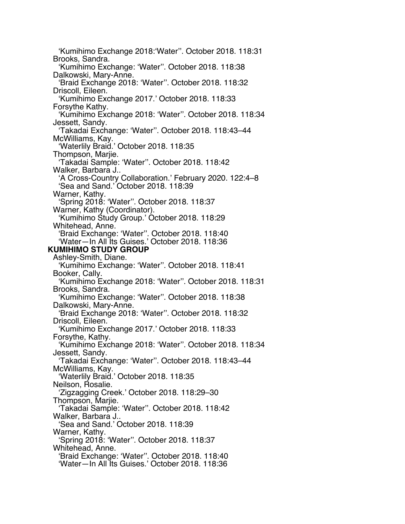'Kumihimo Exchange 2018:'Water''. October 2018. 118:31 Brooks, Sandra. 'Kumihimo Exchange: 'Water''. October 2018. 118:38 Dalkowski, Mary-Anne. 'Braid Exchange 2018: 'Water''. October 2018. 118:32 Driscoll, Eileen. 'Kumihimo Exchange 2017.' October 2018. 118:33 Forsythe Kathy. 'Kumihimo Exchange 2018: 'Water''. October 2018. 118:34 Jessett, Sandy. 'Takadai Exchange: 'Water''. October 2018. 118:43–44 McWilliams, Kay. 'Waterlily Braid.' October 2018. 118:35 Thompson, Marjie. 'Takadai Sample: 'Water''. October 2018. 118:42 Walker, Barbara J.. 'A Cross-Country Collaboration.' February 2020. 122:4–8 'Sea and Sand.' October 2018. 118:39 Warner, Kathy. 'Spring 2018: 'Water''. October 2018. 118:37 Warner, Kathy (Coordinator). 'Kumihimo Study Group.' October 2018. 118:29 Whitehead, Anne. 'Braid Exchange: 'Water''. October 2018. 118:40 'Water—In All Its Guises.' October 2018. 118:36 **KUMIHIMO STUDY GROUP** Ashley-Smith, Diane. 'Kumihimo Exchange: 'Water''. October 2018. 118:41 Booker, Cally. 'Kumihimo Exchange 2018: 'Water''. October 2018. 118:31 Brooks, Sandra. 'Kumihimo Exchange: 'Water''. October 2018. 118:38 Dalkowski, Mary-Anne. 'Braid Exchange 2018: 'Water''. October 2018. 118:32 Driscoll, Eileen. 'Kumihimo Exchange 2017.' October 2018. 118:33 Forsythe, Kathy. 'Kumihimo Exchange 2018: 'Water''. October 2018. 118:34 Jessett, Sandy. 'Takadai Exchange: 'Water''. October 2018. 118:43–44 McWilliams, Kay. 'Waterlily Braid.' October 2018. 118:35 Neilson, Rosalie. 'Zigzagging Creek.' October 2018. 118:29–30 Thompson, Marjie. 'Takadai Sample: 'Water''. October 2018. 118:42 Walker, Barbara J.. 'Sea and Sand.' October 2018. 118:39 Warner, Kathy. 'Spring 2018: 'Water''. October 2018. 118:37 Whitehead, Anne. 'Braid Exchange: 'Water''. October 2018. 118:40 'Water—In All Its Guises.' October 2018. 118:36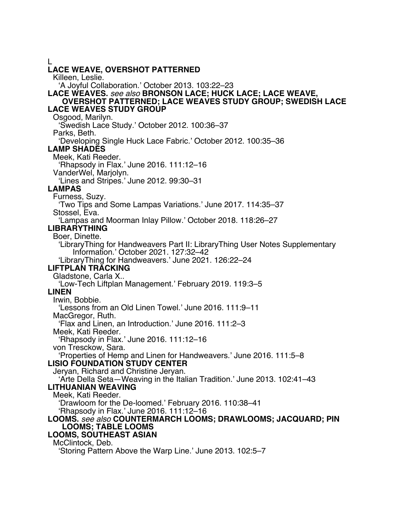L **LACE WEAVE, OVERSHOT PATTERNED** Killeen, Leslie. 'A Joyful Collaboration.' October 2013. 103:22–23 **LACE WEAVES.** *see also* **BRONSON LACE; HUCK LACE; LACE WEAVE, OVERSHOT PATTERNED; LACE WEAVES STUDY GROUP; SWEDISH LACE LACE WEAVES STUDY GROUP** Osgood, Marilyn. 'Swedish Lace Study.' October 2012. 100:36–37 Parks, Beth. 'Developing Single Huck Lace Fabric.' October 2012. 100:35–36 **LAMP SHADES** Meek, Kati Reeder. 'Rhapsody in Flax.' June 2016. 111:12–16 VanderWel, Marjolyn. 'Lines and Stripes.' June 2012. 99:30–31 **LAMPAS** Furness, Suzy. 'Two Tips and Some Lampas Variations.' June 2017. 114:35–37 Stossel, Eva. 'Lampas and Moorman Inlay Pillow.' October 2018. 118:26–27 **LIBRARYTHING** Boer, Dinette. 'LibraryThing for Handweavers Part II: LibraryThing User Notes Supplementary Information.' October 2021. 127:32–42 'LibraryThing for Handweavers.' June 2021. 126:22–24 **LIFTPLAN TRACKING** Gladstone, Carla X.. 'Low-Tech Liftplan Management.' February 2019. 119:3–5 **LINEN** Irwin, Bobbie. 'Lessons from an Old Linen Towel.' June 2016. 111:9–11 MacGregor, Ruth. 'Flax and Linen, an Introduction.' June 2016. 111:2–3 Meek, Kati Reeder. 'Rhapsody in Flax.' June 2016. 111:12–16 von Tresckow, Sara. 'Properties of Hemp and Linen for Handweavers.' June 2016. 111:5–8 **LISIO FOUNDATION STUDY CENTER** Jeryan, Richard and Christine Jeryan. 'Arte Della Seta—Weaving in the Italian Tradition.' June 2013. 102:41–43 **LITHUANIAN WEAVING** Meek, Kati Reeder. 'Drawloom for the De-loomed.' February 2016. 110:38–41 'Rhapsody in Flax.' June 2016. 111:12–16 **LOOMS.** *see also* **COUNTERMARCH LOOMS; DRAWLOOMS; JACQUARD; PIN LOOMS; TABLE LOOMS LOOMS, SOUTHEAST ASIAN** McClintock, Deb. 'Storing Pattern Above the Warp Line.' June 2013. 102:5–7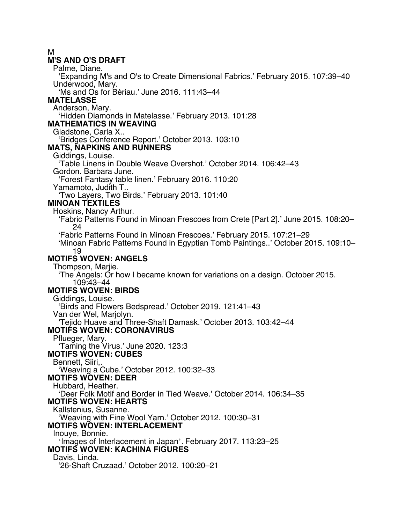M

#### **M'S AND O'S DRAFT**

Palme, Diane.

'Expanding M's and O's to Create Dimensional Fabrics.' February 2015. 107:39–40 Underwood, Mary.

'Ms and Os for Bériau.' June 2016. 111:43–44

### **MATELASSE**

Anderson, Mary.

'Hidden Diamonds in Matelasse.' February 2013. 101:28

#### **MATHEMATICS IN WEAVING**

Gladstone, Carla X..

'Bridges Conference Report.' October 2013. 103:10

#### **MATS, NAPKINS AND RUNNERS**

Giddings, Louise.

'Table Linens in Double Weave Overshot.' October 2014. 106:42–43

Gordon. Barbara June.

'Forest Fantasy table linen.' February 2016. 110:20

Yamamoto, Judith T..

'Two Layers, Two Birds.' February 2013. 101:40

### **MINOAN TEXTILES**

Hoskins, Nancy Arthur.

'Fabric Patterns Found in Minoan Frescoes from Crete [Part 2].' June 2015. 108:20– 24

'Fabric Patterns Found in Minoan Frescoes.' February 2015. 107:21–29

'Minoan Fabric Patterns Found in Egyptian Tomb Paintings..' October 2015. 109:10– 19

### **MOTIFS WOVEN: ANGELS**

Thompson, Marije.

'The Angels: Or how I became known for variations on a design. October 2015. 109:43–44

#### **MOTIFS WOVEN: BIRDS**

Giddings, Louise.

'Birds and Flowers Bedspread.' October 2019. 121:41–43

Van der Wel, Marjolyn.

'Tejido Huave and Three-Shaft Damask.' October 2013. 103:42–44

## **MOTIFS WOVEN: CORONAVIRUS**

Pflueger, Mary.

'Taming the Virus.' June 2020. 123:3

# **MOTIFS WOVEN: CUBES**

Bennett, Siiri,.

'Weaving a Cube.' October 2012. 100:32–33

**MOTIFS WOVEN: DEER**

Hubbard, Heather.

'Deer Folk Motif and Border in Tied Weave.' October 2014. 106:34–35

**MOTIFS WOVEN: HEARTS**

Kallstenius, Susanne.

'Weaving with Fine Wool Yarn.' October 2012. 100:30–31

### **MOTIFS WOVEN: INTERLACEMENT**

Inouye, Bonnie.

'Images of Interlacement in Japan'. February 2017. 113:23–25

# **MOTIFS WOVEN: KACHINA FIGURES**

Davis, Linda.

'26-Shaft Cruzaad.' October 2012. 100:20–21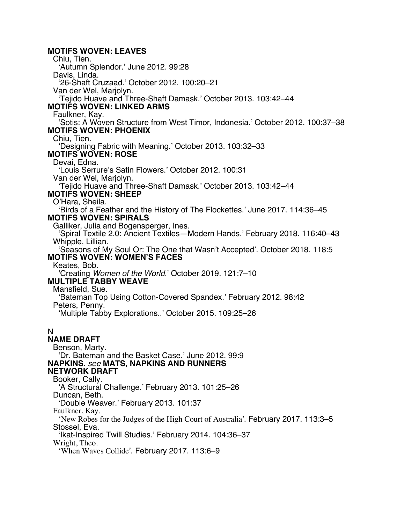#### **MOTIFS WOVEN: LEAVES**

Chiu, Tien. 'Autumn Splendor.' June 2012. 99:28 Davis, Linda. '26-Shaft Cruzaad.' October 2012. 100:20–21 Van der Wel, Marjolyn. 'Tejido Huave and Three-Shaft Damask.' October 2013. 103:42–44 **MOTIFS WOVEN: LINKED ARMS** Faulkner, Kay. 'Sotis: A Woven Structure from West Timor, Indonesia.' October 2012. 100:37–38 **MOTIFS WOVEN: PHOENIX** Chiu, Tien. 'Designing Fabric with Meaning.' October 2013. 103:32–33 **MOTIFS WOVEN: ROSE** Devai, Edna. 'Louis Serrure's Satin Flowers.' October 2012. 100:31 Van der Wel, Marjolyn. 'Tejido Huave and Three-Shaft Damask.' October 2013. 103:42–44 **MOTIFS WOVEN: SHEEP** O'Hara, Sheila. 'Birds of a Feather and the History of The Flockettes.' June 2017. 114:36–45 **MOTIFS WOVEN: SPIRALS** Galliker, Julia and Bogensperger, Ines. 'Spiral Textile 2.0: Ancient Textiles—Modern Hands.' February 2018. 116:40–43 Whipple, Lillian. 'Seasons of My Soul Or: The One that Wasn't Accepted'. October 2018. 118:5 **MOTIFS WOVEN: WOMEN'S FACES** Keates, Bob. 'Creating *Women of the World*.' October 2019. 121:7–10 **MULTIPLE TABBY WEAVE** Mansfield, Sue. 'Bateman Top Using Cotton-Covered Spandex.' February 2012. 98:42 Peters, Penny. 'Multiple Tabby Explorations..' October 2015. 109:25–26 N **NAME DRAFT** Benson, Marty. 'Dr. Bateman and the Basket Case.' June 2012. 99:9 **NAPKINS.** *see* **MATS, NAPKINS AND RUNNERS NETWORK DRAFT** Booker, Cally. 'A Structural Challenge.' February 2013. 101:25–26 Duncan, Beth. 'Double Weaver.' February 2013. 101:37 Faulkner, Kay. 'New Robes for the Judges of the High Court of Australia'. February 2017. 113:3–5 Stossel, Eva. 'Ikat-Inspired Twill Studies.' February 2014. 104:36–37 Wright, Theo. 'When Waves Collide'. February 2017. 113:6–9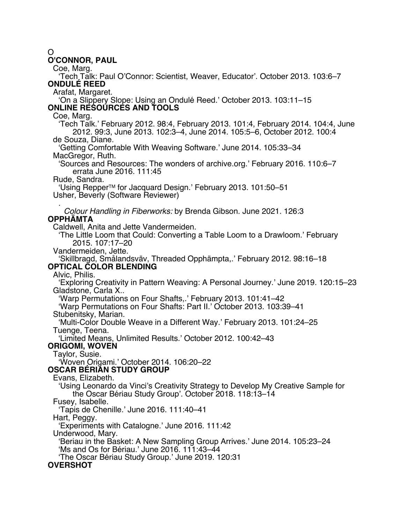#### $\Omega$

#### **O'CONNOR, PAUL**

Coe, Marg.

'Tech Talk: Paul O'Connor: Scientist, Weaver, Educator'. October 2013. 103:6–7 **ONDULÉ REED**

Arafat, Margaret.

'On a Slippery Slope: Using an Ondulé Reed.' October 2013. 103:11–15 **ONLINE RESOURCES AND TOOLS**

Coe, Marg.

'Tech Talk.' February 2012. 98:4, February 2013. 101:4, February 2014. 104:4, June 2012. 99:3, June 2013. 102:3–4, June 2014. 105:5–6, October 2012. 100:4 de Souza, Diane.

'Getting Comfortable With Weaving Software.' June 2014. 105:33–34 MacGregor, Ruth.

'Sources and Resources: The wonders of archive.org.' February 2016. 110:6–7 errata June 2016. 111:45

Rude, Sandra.

'Using RepperTM for Jacquard Design.' February 2013. 101:50–51 Usher, Beverly (Software Reviewer)

. *Colour Handling in Fiberworks:* by Brenda Gibson. June 2021. 126:3 **OPPHÄMTA**

Caldwell, Anita and Jette Vandermeiden.

'The Little Loom that Could: Converting a Table Loom to a Drawloom.' February 2015. 107:17–20

Vandermeiden, Jette.

'Skillbragd, Smålandsväv, Threaded Opphämpta,.' February 2012. 98:16–18 **OPTICAL COLOR BLENDING**

Alvic, Philis.

'Exploring Creativity in Pattern Weaving: A Personal Journey.' June 2019. 120:15–23 Gladstone, Carla X..

'Warp Permutations on Four Shafts,.' February 2013. 101:41–42

'Warp Permutations on Four Shafts: Part II.' October 2013. 103:39–41

Stubenitsky, Marian.

'Multi-Color Double Weave in a Different Way.' February 2013. 101:24–25 Tuenge, Teena.

'Limited Means, Unlimited Results.' October 2012. 100:42–43

**ORIGOMI, WOVEN**

Taylor, Susie.

'Woven Origami.' October 2014. 106:20–22

#### **OSCAR BÉRIAN STUDY GROUP**

Evans, Elizabeth.

'Using Leonardo da Vinci's Creativity Strategy to Develop My Creative Sample for the Oscar Bériau Study Group'. October 2018. 118:13–14

Fusey, Isabelle.

'Tapis de Chenille.' June 2016. 111:40–41

Hart, Peggy.

'Experiments with Catalogne.' June 2016. 111:42

Underwood, Mary.

'Beriau in the Basket: A New Sampling Group Arrives.' June 2014. 105:23–24 'Ms and Os for Bériau.' June 2016. 111:43–44

'The Oscar Bériau Study Group.' June 2019. 120:31

## **OVERSHOT**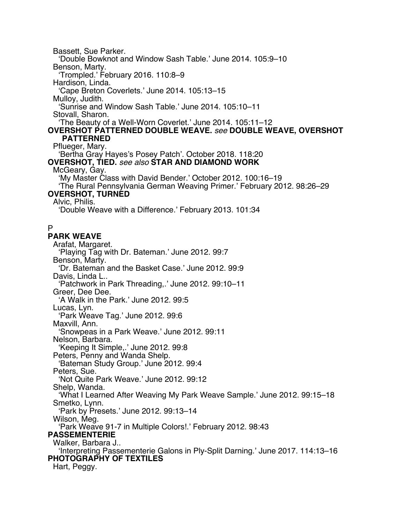Bassett, Sue Parker.

'Double Bowknot and Window Sash Table.' June 2014. 105:9–10

Benson, Marty.

'Trompled.' February 2016. 110:8–9

Hardison, Linda.

'Cape Breton Coverlets.' June 2014. 105:13–15

Mulloy, Judith.

'Sunrise and Window Sash Table.' June 2014. 105:10–11

Stovall, Sharon.

'The Beauty of a Well-Worn Coverlet.' June 2014. 105:11–12

#### **OVERSHOT PATTERNED DOUBLE WEAVE.** *see* **DOUBLE WEAVE, OVERSHOT PATTERNED**

Pflueger, Mary.

'Bertha Gray Hayes's Posey Patch'. October 2018. 118:20 **OVERSHOT, TIED.** *see also* **STAR AND DIAMOND WORK**

# McGeary, Gay.

'My Master Class with David Bender.' October 2012. 100:16–19

'The Rural Pennsylvania German Weaving Primer.' February 2012. 98:26–29

# **OVERSHOT, TURNED**

Alvic, Philis.

'Double Weave with a Difference.' February 2013. 101:34

# P

# **PARK WEAVE**

Arafat, Margaret. 'Playing Tag with Dr. Bateman.' June 2012. 99:7 Benson, Marty. 'Dr. Bateman and the Basket Case.' June 2012. 99:9 Davis, Linda L.. 'Patchwork in Park Threading,.' June 2012. 99:10–11 Greer, Dee Dee. 'A Walk in the Park.' June 2012. 99:5 Lucas, Lyn. 'Park Weave Tag.' June 2012. 99:6 Maxvill, Ann. 'Snowpeas in a Park Weave.' June 2012. 99:11 Nelson, Barbara. 'Keeping It Simple,.' June 2012. 99:8 Peters, Penny and Wanda Shelp. 'Bateman Study Group.' June 2012. 99:4 Peters, Sue. 'Not Quite Park Weave.' June 2012. 99:12 Shelp, Wanda. 'What I Learned After Weaving My Park Weave Sample.' June 2012. 99:15–18 Smetko, Lynn. 'Park by Presets.' June 2012. 99:13–14 Wilson, Meg. 'Park Weave 91-7 in Multiple Colors!.' February 2012. 98:43 **PASSEMENTERIE** Walker, Barbara J.. 'Interpreting Passementerie Galons in Ply-Split Darning.' June 2017. 114:13–16 **PHOTOGRAPHY OF TEXTILES** Hart, Peggy.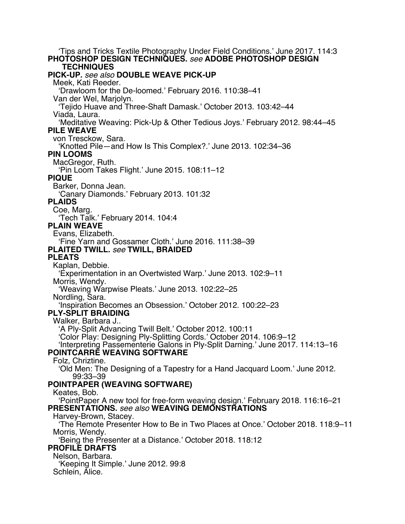'Tips and Tricks Textile Photography Under Field Conditions.' June 2017. 114:3 **PHOTOSHOP DESIGN TECHNIQUES.** *see* **ADOBE PHOTOSHOP DESIGN TECHNIQUES PICK-UP.** *see also* **DOUBLE WEAVE PICK-UP** Meek, Kati Reeder. 'Drawloom for the De-loomed.' February 2016. 110:38–41 Van der Wel, Marjolyn. 'Tejido Huave and Three-Shaft Damask.' October 2013. 103:42–44 Viada, Laura. 'Meditative Weaving: Pick-Up & Other Tedious Joys.' February 2012. 98:44–45 **PILE WEAVE** von Tresckow, Sara. 'Knotted Pile—and How Is This Complex?.' June 2013. 102:34–36 **PIN LOOMS** MacGregor, Ruth. 'Pin Loom Takes Flight.' June 2015. 108:11–12 **PIQUE** Barker, Donna Jean. 'Canary Diamonds.' February 2013. 101:32 **PLAIDS** Coe, Marg. 'Tech Talk.' February 2014. 104:4 **PLAIN WEAVE** Evans, Elizabeth. 'Fine Yarn and Gossamer Cloth.' June 2016. 111:38–39 **PLAITED TWILL.** *see* **TWILL, BRAIDED PLEATS** Kaplan, Debbie. 'Experimentation in an Overtwisted Warp.' June 2013. 102:9–11 Morris, Wendy. 'Weaving Warpwise Pleats.' June 2013. 102:22–25 Nordling, Sara. 'Inspiration Becomes an Obsession.' October 2012. 100:22–23 **PLY-SPLIT BRAIDING** Walker, Barbara J.. 'A Ply-Split Advancing Twill Belt.' October 2012. 100:11 'Color Play: Designing Ply-Splitting Cords.' October 2014. 106:9–12 'Interpreting Passementerie Galons in Ply-Split Darning.' June 2017. 114:13–16 **POINTCARRÉ WEAVING SOFTWARE** Folz, Chriztine. 'Old Men: The Designing of a Tapestry for a Hand Jacquard Loom.' June 2012. 99:33–39 **POINTPAPER (WEAVING SOFTWARE)** Keates, Bob. 'PointPaper A new tool for free-form weaving design.' February 2018. 116:16–21 **PRESENTATIONS.** *see also* **WEAVING DEMONSTRATIONS** Harvey-Brown, Stacey. 'The Remote Presenter How to Be in Two Places at Once.' October 2018. 118:9–11 Morris, Wendy. 'Being the Presenter at a Distance.' October 2018. 118:12 **PROFILE DRAFTS** Nelson, Barbara. 'Keeping It Simple.' June 2012. 99:8 Schlein, Alice.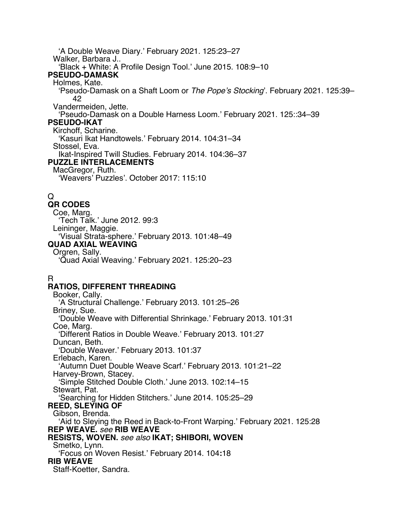'A Double Weave Diary.' February 2021. 125:23–27 Walker, Barbara J.. 'Black + White: A Profile Design Tool.' June 2015. 108:9–10 **PSEUDO-DAMASK** Holmes, Kate. 'Pseudo-Damask on a Shaft Loom or *The Pope's Stocking*'. February 2021. 125:39– 42 Vandermeiden, Jette. 'Pseudo-Damask on a Double Harness Loom.' February 2021. 125::34–39 **PSEUDO-IKAT** Kirchoff, Scharine. 'Kasuri Ikat Handtowels.' February 2014. 104:31–34 Stossel, Eva. Ikat-Inspired Twill Studies. February 2014. 104:36–37 **PUZZLE INTERLACEMENTS** MacGregor, Ruth. 'Weavers' Puzzles'. October 2017: 115:10

# Q

**QR CODES** Coe, Marg. 'Tech Talk.' June 2012. 99:3 Leininger, Maggie. 'Visual Strata-sphere.' February 2013. 101:48–49 **QUAD AXIAL WEAVING** Orgren, Sally. 'Quad Axial Weaving.' February 2021. 125:20–23

# R

# **RATIOS, DIFFERENT THREADING**

Booker, Cally. 'A Structural Challenge.' February 2013. 101:25–26 Briney, Sue. 'Double Weave with Differential Shrinkage.' February 2013. 101:31 Coe, Marg. 'Different Ratios in Double Weave.' February 2013. 101:27 Duncan, Beth. 'Double Weaver.' February 2013. 101:37 Erlebach, Karen. 'Autumn Duet Double Weave Scarf.' February 2013. 101:21–22 Harvey-Brown, Stacey. 'Simple Stitched Double Cloth.' June 2013. 102:14–15 Stewart, Pat. 'Searching for Hidden Stitchers.' June 2014. 105:25–29 **REED, SLEYING OF** Gibson, Brenda. 'Aid to Sleying the Reed in Back-to-Front Warping.' February 2021. 125:28 **REP WEAVE.** *see* **RIB WEAVE RESISTS, WOVEN.** *see also* **IKAT; SHIBORI, WOVEN** Smetko, Lynn. 'Focus on Woven Resist.' February 2014. 104**:**18 **RIB WEAVE** Staff-Koetter, Sandra.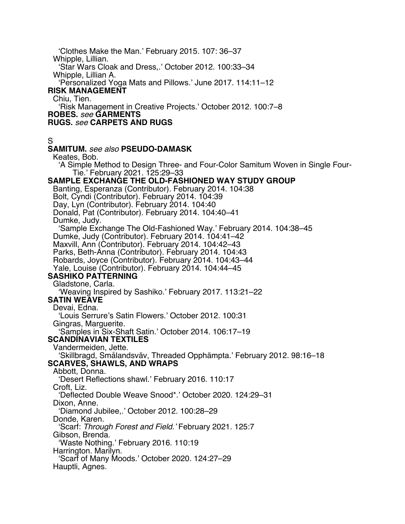'Clothes Make the Man.' February 2015. 107: 36–37 Whipple, Lillian. 'Star Wars Cloak and Dress,.' October 2012. 100:33–34 Whipple, Lillian A. 'Personalized Yoga Mats and Pillows.' June 2017. 114:11–12 **RISK MANAGEMENT** Chiu, Tien. 'Risk Management in Creative Projects.' October 2012. 100:7–8 **ROBES.** *see* **GARMENTS RUGS.** *see* **CARPETS AND RUGS** S **SAMITUM.** *see also* **PSEUDO-DAMASK** Keates, Bob. 'A Simple Method to Design Three- and Four-Color Samitum Woven in Single Four-Tie.' February 2021. 125:29–33 **SAMPLE EXCHANGE THE OLD-FASHIONED WAY STUDY GROUP** Banting, Esperanza (Contributor). February 2014. 104:38 Bolt, Cyndi (Contributor). February 2014. 104:39 Day, Lyn (Contributor). February 2014. 104:40 Donald, Pat (Contributor). February 2014. 104:40–41 Dumke, Judy. 'Sample Exchange The Old-Fashioned Way.' February 2014. 104:38–45 Dumke, Judy (Contributor). February 2014. 104:41–42 Maxvill, Ann (Contributor). February 2014. 104:42–43 Parks, Beth-Anna (Contributor). February 2014. 104:43 Robards, Joyce (Contributor). February 2014. 104:43–44 Yale, Louise (Contributor). February 2014. 104:44–45 **SASHIKO PATTERNING** Gladstone, Carla. 'Weaving Inspired by Sashiko.' February 2017. 113:21–22 **SATIN WEAVE** Devai, Edna. 'Louis Serrure's Satin Flowers.' October 2012. 100:31 Gingras, Marguerite. 'Samples in Six-Shaft Satin.' October 2014. 106:17–19 **SCANDINAVIAN TEXTILES** Vandermeiden, Jette. 'Skillbragd, Smålandsväv, Threaded Opphämpta.' February 2012. 98:16–18 **SCARVES, SHAWLS, AND WRAPS** Abbott, Donna. 'Desert Reflections shawl.' February 2016. 110:17 Croft, Liz. 'Deflected Double Weave Snood\*.' October 2020. 124:29–31 Dixon, Anne. 'Diamond Jubilee,.' October 2012. 100:28–29 Donde, Karen. 'Scarf: *Through Forest and Field.'* February 2021. 125:7 Gibson, Brenda. 'Waste Nothing.' February 2016. 110:19 Harrington. Marilyn. 'Scarf of Many Moods.' October 2020. 124:27–29 Hauptli, Agnes.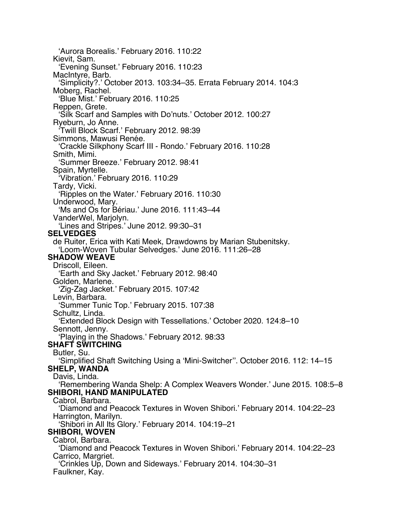'Aurora Borealis.' February 2016. 110:22 Kievit, Sam. 'Evening Sunset.' February 2016. 110:23 MacIntyre, Barb. 'Simplicity?.' October 2013. 103:34–35. Errata February 2014. 104:3 Moberg, Rachel. 'Blue Mist.' February 2016. 110:25 Reppen, Grete. 'Silk Scarf and Samples with Do'nuts.' October 2012. 100:27 Ryeburn, Jo Anne. 'Twill Block Scarf.' February 2012. 98:39 Simmons, Mawusi Renée. 'Crackle Silkphony Scarf III - Rondo.' February 2016. 110:28 Smith, Mimi. 'Summer Breeze.' February 2012. 98:41 Spain, Myrtelle. 'Vibration.' February 2016. 110:29 Tardy, Vicki. 'Ripples on the Water.' February 2016. 110:30 Underwood, Mary. 'Ms and Os for Bériau.' June 2016. 111:43–44 VanderWel, Marjolyn. 'Lines and Stripes.' June 2012. 99:30–31 **SELVEDGES** de Ruiter, Erica with Kati Meek, Drawdowns by Marian Stubenitsky. 'Loom-Woven Tubular Selvedges.' June 2016. 111:26–28 **SHADOW WEAVE** Driscoll, Eileen. 'Earth and Sky Jacket.' February 2012. 98:40 Golden, Marlene. 'Zig-Zag Jacket.' February 2015. 107:42 Levin, Barbara. 'Summer Tunic Top.' February 2015. 107:38 Schultz, Linda. 'Extended Block Design with Tessellations.' October 2020. 124:8–10 Sennott, Jenny. 'Playing in the Shadows.' February 2012. 98:33 **SHAFT SWITCHING** Butler, Su. 'Simplified Shaft Switching Using a 'Mini-Switcher''. October 2016. 112: 14–15 **SHELP, WANDA** Davis, Linda. 'Remembering Wanda Shelp: A Complex Weavers Wonder.' June 2015. 108:5–8 **SHIBORI, HAND MANIPULATED** Cabrol, Barbara. 'Diamond and Peacock Textures in Woven Shibori.' February 2014. 104:22–23 Harrington, Marilyn. 'Shibori in All Its Glory.' February 2014. 104:19–21 **SHIBORI, WOVEN** Cabrol, Barbara. 'Diamond and Peacock Textures in Woven Shibori.' February 2014. 104:22–23 Carrico, Margriet. 'Crinkles Up, Down and Sideways.' February 2014. 104:30–31 Faulkner, Kay.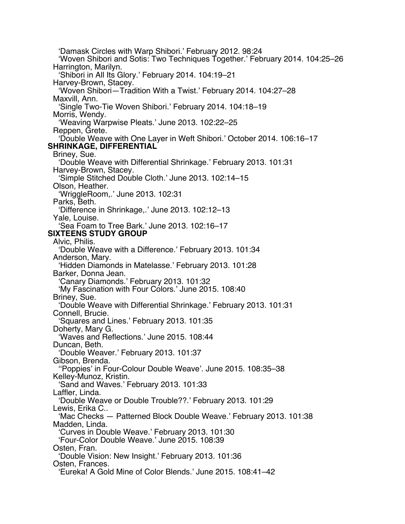'Damask Circles with Warp Shibori.' February 2012. 98:24 'Woven Shibori and Sotis: Two Techniques Together.' February 2014. 104:25–26 Harrington, Marilyn. 'Shibori in All Its Glory.' February 2014. 104:19–21 Harvey-Brown, Stacey. 'Woven Shibori—Tradition With a Twist.' February 2014. 104:27–28 Maxvill, Ann. 'Single Two-Tie Woven Shibori.' February 2014. 104:18–19 Morris, Wendy. 'Weaving Warpwise Pleats.' June 2013. 102:22–25 Reppen, Grete. 'Double Weave with One Layer in Weft Shibori.' October 2014. 106:16–17 **SHRINKAGE, DIFFERENTIAL** Briney, Sue. 'Double Weave with Differential Shrinkage.' February 2013. 101:31 Harvey-Brown, Stacey. 'Simple Stitched Double Cloth.' June 2013. 102:14–15 Olson, Heather. 'WriggleRoom,.' June 2013. 102:31 Parks, Beth. 'Difference in Shrinkage,.' June 2013. 102:12–13 Yale, Louise. 'Sea Foam to Tree Bark.' June 2013. 102:16–17 **SIXTEENS STUDY GROUP** Alvic, Philis. 'Double Weave with a Difference.' February 2013. 101:34 Anderson, Mary. 'Hidden Diamonds in Matelasse.' February 2013. 101:28 Barker, Donna Jean. 'Canary Diamonds.' February 2013. 101:32 'My Fascination with Four Colors.' June 2015. 108:40 Briney, Sue. 'Double Weave with Differential Shrinkage.' February 2013. 101:31 Connell, Brucie. 'Squares and Lines.' February 2013. 101:35 Doherty, Mary G. 'Waves and Reflections.' June 2015. 108:44 Duncan, Beth. 'Double Weaver.' February 2013. 101:37 Gibson, Brenda. ''Poppies' in Four-Colour Double Weave'. June 2015. 108:35–38 Kelley-Munoz, Kristin. 'Sand and Waves.' February 2013. 101:33 Laffler, Linda. 'Double Weave or Double Trouble??.' February 2013. 101:29 Lewis, Erika C.. 'Mac Checks — Patterned Block Double Weave.' February 2013. 101:38 Madden, Linda. 'Curves in Double Weave.' February 2013. 101:30 'Four-Color Double Weave.' June 2015. 108:39 Osten, Fran. 'Double Vision: New Insight.' February 2013. 101:36 Osten, Frances. 'Eureka! A Gold Mine of Color Blends.' June 2015. 108:41–42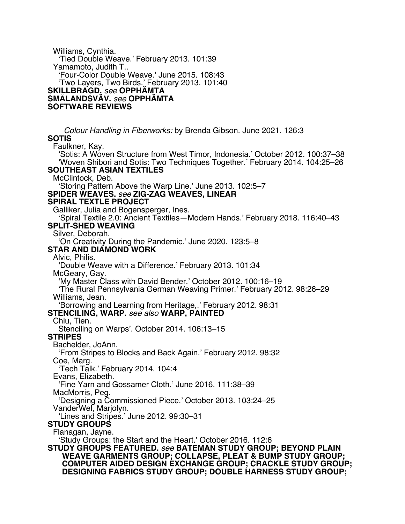Williams, Cynthia. 'Tied Double Weave.' February 2013. 101:39 Yamamoto, Judith T.. 'Four-Color Double Weave.' June 2015. 108:43 'Two Layers, Two Birds.' February 2013. 101:40 **SKILLBRAGD.** *see* **OPPHÄMTA SMÅLANDSVÄV.** *see* **OPPHÄMTA SOFTWARE REVIEWS** *Colour Handling in Fiberworks:* by Brenda Gibson. June 2021. 126:3 **SOTIS** Faulkner, Kay. 'Sotis: A Woven Structure from West Timor, Indonesia.' October 2012. 100:37–38 'Woven Shibori and Sotis: Two Techniques Together.' February 2014. 104:25–26 **SOUTHEAST ASIAN TEXTILES** McClintock, Deb. 'Storing Pattern Above the Warp Line.' June 2013. 102:5–7 **SPIDER WEAVES.** *see* **ZIG-ZAG WEAVES, LINEAR SPIRAL TEXTLE PROJECT** Galliker, Julia and Bogensperger, Ines. 'Spiral Textile 2.0: Ancient Textiles—Modern Hands.' February 2018. 116:40–43 **SPLIT-SHED WEAVING** Silver, Deborah. 'On Creativity During the Pandemic.' June 2020. 123:5–8 **STAR AND DIAMOND WORK** Alvic, Philis. 'Double Weave with a Difference.' February 2013. 101:34 McGeary, Gay. 'My Master Class with David Bender.' October 2012. 100:16–19 'The Rural Pennsylvania German Weaving Primer.' February 2012. 98:26–29 Williams, Jean. 'Borrowing and Learning from Heritage,.' February 2012. 98:31 **STENCILING, WARP.** *see also* **WARP, PAINTED** Chiu, Tien. Stenciling on Warps'. October 2014. 106:13–15 **STRIPES** Bachelder, JoAnn. 'From Stripes to Blocks and Back Again.' February 2012. 98:32 Coe, Marg. 'Tech Talk.' February 2014. 104:4 Evans, Elizabeth. 'Fine Yarn and Gossamer Cloth.' June 2016. 111:38–39 MacMorris, Peg. 'Designing a Commissioned Piece.' October 2013. 103:24–25 VanderWel, Marjolyn. 'Lines and Stripes.' June 2012. 99:30–31 **STUDY GROUPS** Flanagan, Jayne. 'Study Groups: the Start and the Heart.' October 2016. 112:6 **STUDY GROUPS FEATURED.** *see* **BATEMAN STUDY GROUP; BEYOND PLAIN WEAVE GARMENTS GROUP; COLLAPSE, PLEAT & BUMP STUDY GROUP; COMPUTER AIDED DESIGN EXCHANGE GROUP; CRACKLE STUDY GROUP; DESIGNING FABRICS STUDY GROUP; DOUBLE HARNESS STUDY GROUP;**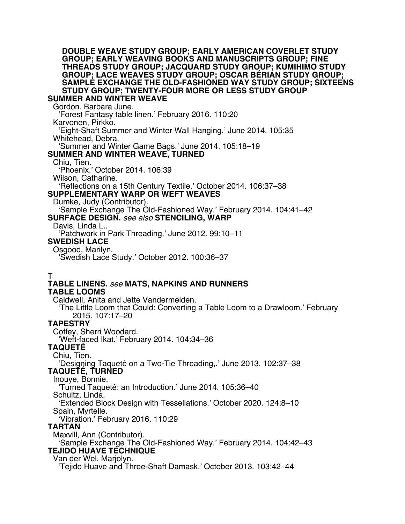#### **DOUBLE WEAVE STUDY GROUP; EARLY AMERICAN COVERLET STUDY GROUP; EARLY WEAVING BOOKS AND MANUSCRIPTS GROUP; FINE THREADS STUDY GROUP; JACQUARD STUDY GROUP; KUMIHIMO STUDY GROUP; LACE WEAVES STUDY GROUP; OSCAR BÉRIAN STUDY GROUP; SAMPLE EXCHANGE THE OLD-FASHIONED WAY STUDY GROUP; SIXTEENS STUDY GROUP; TWENTY-FOUR MORE OR LESS STUDY GROUP**

# **SUMMER AND WINTER WEAVE**

Gordon. Barbara June.

'Forest Fantasy table linen.' February 2016. 110:20

Karvonen, Pirkko.

'Eight-Shaft Summer and Winter Wall Hanging.' June 2014. 105:35 Whitehead, Debra.

'Summer and Winter Game Bags.' June 2014. 105:18–19

### **SUMMER AND WINTER WEAVE, TURNED**

#### Chiu, Tien.

'Phoenix.' October 2014. 106:39

Wilson, Catharine.

'Reflections on a 15th Century Textile.' October 2014. 106:37–38

#### **SUPPLEMENTARY WARP OR WEFT WEAVES**

Dumke, Judy (Contributor).

'Sample Exchange The Old-Fashioned Way.' February 2014. 104:41–42 **SURFACE DESIGN.** *see also* **STENCILING, WARP**

# Davis, Linda L..

'Patchwork in Park Threading.' June 2012. 99:10–11

### **SWEDISH LACE**

Osgood, Marilyn.

'Swedish Lace Study.' October 2012. 100:36–37

# T

### **TABLE LINENS.** *see* **MATS, NAPKINS AND RUNNERS TABLE LOOMS**

Caldwell, Anita and Jette Vandermeiden.

'The Little Loom that Could: Converting a Table Loom to a Drawloom.' February 2015. 107:17–20

## **TAPESTRY**

Coffey, Sherri Woodard.

'Weft-faced Ikat.' February 2014. 104:34–36

#### **TAQUETÉ**

Chiu, Tien.

'Designing Taqueté on a Two-Tie Threading,.' June 2013. 102:37–38 **TAQUETÉ, TURNED**

Inouye, Bonnie.

'Turned Taqueté: an Introduction.' June 2014. 105:36–40

Schultz, Linda.

'Extended Block Design with Tessellations.' October 2020. 124:8–10 Spain, Myrtelle.

'Vibration.' February 2016. 110:29

#### **TARTAN**

Maxvill, Ann (Contributor).

'Sample Exchange The Old-Fashioned Way.' February 2014. 104:42–43 **TEJIDO HUAVE TECHNIQUE**

Van der Wel, Marjolyn.

'Tejido Huave and Three-Shaft Damask.' October 2013. 103:42–44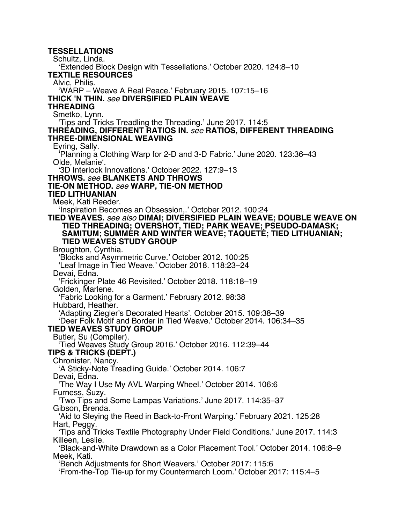**TESSELLATIONS** Schultz, Linda. 'Extended Block Design with Tessellations.' October 2020. 124:8–10 **TEXTILE RESOURCES** Alvic, Philis. 'WARP – Weave A Real Peace.' February 2015. 107:15–16 **THICK 'N THIN.** *see* **DIVERSIFIED PLAIN WEAVE THREADING** Smetko, Lynn. 'Tips and Tricks Treadling the Threading.' June 2017. 114:5 **THREADING, DIFFERENT RATIOS IN.** *see* **RATIOS, DIFFERENT THREADING THREE-DIMENSIONAL WEAVING** Eyring, Sally. 'Planning a Clothing Warp for 2-D and 3-D Fabric.' June 2020. 123:36–43 Olde, Melanie'. '3D Interlock Innovations.' October 2022. 127:9–13 **THROWS.** *see* **BLANKETS AND THROWS TIE-ON METHOD.** *see* **WARP, TIE-ON METHOD TIED LITHUANIAN** Meek, Kati Reeder. 'Inspiration Becomes an Obsession,.' October 2012. 100:24 **TIED WEAVES.** *see also* **DIMAI; DIVERSIFIED PLAIN WEAVE; DOUBLE WEAVE ON TIED THREADING; OVERSHOT, TIED; PARK WEAVE; PSEUDO-DAMASK; SAMITUM; SUMMER AND WINTER WEAVE; TAQUETÉ; TIED LITHUANIAN; TIED WEAVES STUDY GROUP** Broughton, Cynthia. 'Blocks and Asymmetric Curve.' October 2012. 100:25 'Leaf Image in Tied Weave.' October 2018. 118:23–24 Devai, Edna. 'Frickinger Plate 46 Revisited.' October 2018. 118:18–19 Golden, Marlene. 'Fabric Looking for a Garment.' February 2012. 98:38 Hubbard, Heather. 'Adapting Ziegler's Decorated Hearts'. October 2015. 109:38–39 'Deer Folk Motif and Border in Tied Weave.' October 2014. 106:34–35 **TIED WEAVES STUDY GROUP** Butler, Su (Compiler). 'Tied Weaves Study Group 2016.' October 2016. 112:39–44 **TIPS & TRICKS (DEPT.)** Chronister, Nancy. 'A Sticky-Note Treadling Guide.' October 2014. 106:7 Devai, Edna. 'The Way I Use My AVL Warping Wheel.' October 2014. 106:6 Furness, Suzy. 'Two Tips and Some Lampas Variations.' June 2017. 114:35–37 Gibson, Brenda. 'Aid to Sleying the Reed in Back-to-Front Warping.' February 2021. 125:28 Hart, Peggy. 'Tips and Tricks Textile Photography Under Field Conditions.' June 2017. 114:3 Killeen, Leslie. 'Black-and-White Drawdown as a Color Placement Tool.' October 2014. 106:8–9 Meek, Kati. 'Bench Adjustments for Short Weavers.' October 2017: 115:6 'From-the-Top Tie-up for my Countermarch Loom.' October 2017: 115:4–5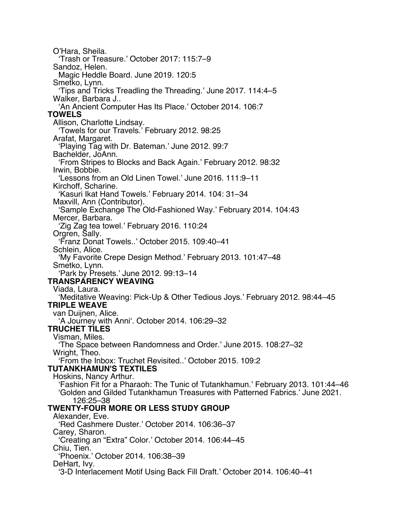O'Hara, Sheila. 'Trash or Treasure.' October 2017: 115:7–9 Sandoz, Helen. Magic Heddle Board. June 2019. 120:5 Smetko, Lynn. 'Tips and Tricks Treadling the Threading.' June 2017. 114:4–5 Walker, Barbara J.. 'An Ancient Computer Has Its Place.' October 2014. 106:7 **TOWELS** Allison, Charlotte Lindsay. 'Towels for our Travels.' February 2012. 98:25 Arafat, Margaret. 'Playing Tag with Dr. Bateman.' June 2012. 99:7 Bachelder, JoAnn. 'From Stripes to Blocks and Back Again.' February 2012. 98:32 Irwin, Bobbie. 'Lessons from an Old Linen Towel.' June 2016. 111:9–11 Kirchoff, Scharine. 'Kasuri Ikat Hand Towels.' February 2014. 104: 31–34 Maxvill, Ann (Contributor). 'Sample Exchange The Old-Fashioned Way.' February 2014. 104:43 Mercer, Barbara. 'Zig Zag tea towel.' February 2016. 110:24 Orgren, Sally. 'Franz Donat Towels..' October 2015. 109:40–41 Schlein, Alice. 'My Favorite Crepe Design Method.' February 2013. 101:47–48 Smetko, Lynn. 'Park by Presets.' June 2012. 99:13–14 **TRANSPARENCY WEAVING** Viada, Laura. 'Meditative Weaving: Pick-Up & Other Tedious Joys.' February 2012. 98:44–45 **TRIPLE WEAVE** van Duijnen, Alice. 'A Journey with Anni'. October 2014. 106:29–32 **TRUCHET TILES** Visman, Miles. 'The Space between Randomness and Order.' June 2015. 108:27–32 Wright, Theo. 'From the Inbox: Truchet Revisited..' October 2015. 109:2 **TUTANKHAMUN'S TEXTILES** Hoskins, Nancy Arthur. 'Fashion Fit for a Pharaoh: The Tunic of Tutankhamun.' February 2013. 101:44–46 'Golden and Gilded Tutankhamun Treasures with Patterned Fabrics.' June 2021. 126:25–38 **TWENTY-FOUR MORE OR LESS STUDY GROUP** Alexander, Eve. 'Red Cashmere Duster.' October 2014. 106:36–37 Carey, Sharon. 'Creating an "Extra" Color.' October 2014. 106:44–45 Chiu, Tien. 'Phoenix.' October 2014. 106:38–39 DeHart, Ivy. '3-D Interlacement Motif Using Back Fill Draft.' October 2014. 106:40–41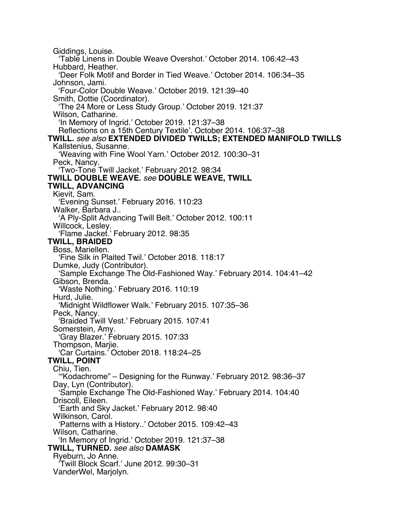Giddings, Louise. 'Table Linens in Double Weave Overshot.' October 2014. 106:42–43 Hubbard, Heather. 'Deer Folk Motif and Border in Tied Weave.' October 2014. 106:34–35 Johnson, Jami. 'Four-Color Double Weave.' October 2019. 121:39–40 Smith, Dottie (Coordinator). 'The 24 More or Less Study Group.' October 2019. 121:37 Wilson, Catharine. 'In Memory of Ingrid.' October 2019. 121:37–38 Reflections on a 15th Century Textile'. October 2014. 106:37–38 **TWILL.** *see also* **EXTENDED DIVIDED TWILLS; EXTENDED MANIFOLD TWILLS** Kallstenius, Susanne. 'Weaving with Fine Wool Yarn.' October 2012. 100:30–31 Peck, Nancy. 'Two-Tone Twill Jacket.' February 2012. 98:34 **TWILL DOUBLE WEAVE.** *see* **DOUBLE WEAVE, TWILL TWILL, ADVANCING** Kievit, Sam. 'Evening Sunset.' February 2016. 110:23 Walker, Barbara J.. 'A Ply-Split Advancing Twill Belt.' October 2012. 100:11 Willcock, Lesley. 'Flame Jacket.' February 2012. 98:35 **TWILL, BRAIDED** Boss, Mariellen. 'Fine Silk in Plaited Twil.' October 2018. 118:17 Dumke, Judy (Contributor). 'Sample Exchange The Old-Fashioned Way.' February 2014. 104:41–42 Gibson, Brenda. 'Waste Nothing.' February 2016. 110:19 Hurd, Julie. 'Midnight Wildflower Walk.' February 2015. 107:35–36 Peck, Nancy. 'Braided Twill Vest.' February 2015. 107:41 Somerstein, Amy. 'Gray Blazer.' February 2015. 107:33 Thompson, Marjie. 'Car Curtains.' October 2018. 118:24–25 **TWILL, POINT** Chiu, Tien. '"Kodachrome" – Designing for the Runway.' February 2012. 98:36–37 Day, Lyn (Contributor). 'Sample Exchange The Old-Fashioned Way.' February 2014. 104:40 Driscoll, Eileen. 'Earth and Sky Jacket.' February 2012. 98:40 Wilkinson, Carol. 'Patterns with a History..' October 2015. 109:42–43 Wilson, Catharine. 'In Memory of Ingrid.' October 2019. 121:37–38 **TWILL, TURNED.** *see also* **DAMASK** Ryeburn, Jo Anne. 'Twill Block Scarf.' June 2012. 99:30–31 VanderWel, Marjolyn.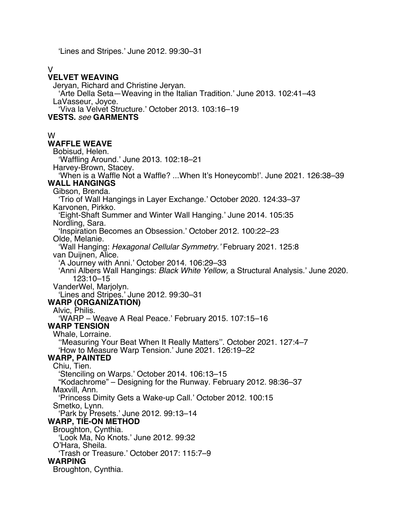'Lines and Stripes.' June 2012. 99:30–31

#### V

#### **VELVET WEAVING**

Jeryan, Richard and Christine Jeryan. 'Arte Della Seta—Weaving in the Italian Tradition.' June 2013. 102:41–43 LaVasseur, Joyce. 'Viva la Velvet Structure.' October 2013. 103:16–19 **VESTS.** *see* **GARMENTS**

#### W

#### **WAFFLE WEAVE**

Bobisud, Helen. 'Waffling Around.' June 2013. 102:18–21 Harvey-Brown, Stacey. 'When is a Waffle Not a Waffle? ...When It's Honeycomb!'. June 2021. 126:38–39 **WALL HANGINGS** Gibson, Brenda. 'Trio of Wall Hangings in Layer Exchange.' October 2020. 124:33–37 Karvonen, Pirkko. 'Eight-Shaft Summer and Winter Wall Hanging.' June 2014. 105:35 Nordling, Sara. 'Inspiration Becomes an Obsession.' October 2012. 100:22–23 Olde, Melanie. 'Wall Hanging: *Hexagonal Cellular Symmetry.'* February 2021. 125:8 van Duijnen, Alice. 'A Journey with Anni.' October 2014. 106:29–33 'Anni Albers Wall Hangings: *Black White Yellow,* a Structural Analysis.' June 2020. 123:10–15 VanderWel, Marjolyn. 'Lines and Stripes.' June 2012. 99:30–31 **WARP (ORGANIZATION)** Alvic, Philis. 'WARP – Weave A Real Peace.' February 2015. 107:15–16 **WARP TENSION** Whale, Lorraine. ''Measuring Your Beat When It Really Matters''. October 2021. 127:4–7 'How to Measure Warp Tension.' June 2021. 126:19–22 **WARP, PAINTED** Chiu, Tien. 'Stenciling on Warps.' October 2014. 106:13–15 "Kodachrome" – Designing for the Runway. February 2012. 98:36–37 Maxvill, Ann. 'Princess Dimity Gets a Wake-up Call.' October 2012. 100:15 Smetko, Lynn. 'Park by Presets.' June 2012. 99:13–14 **WARP, TIE-ON METHOD** Broughton, Cynthia. 'Look Ma, No Knots.' June 2012. 99:32 O'Hara, Sheila. 'Trash or Treasure.' October 2017: 115:7–9 **WARPING** Broughton, Cynthia.